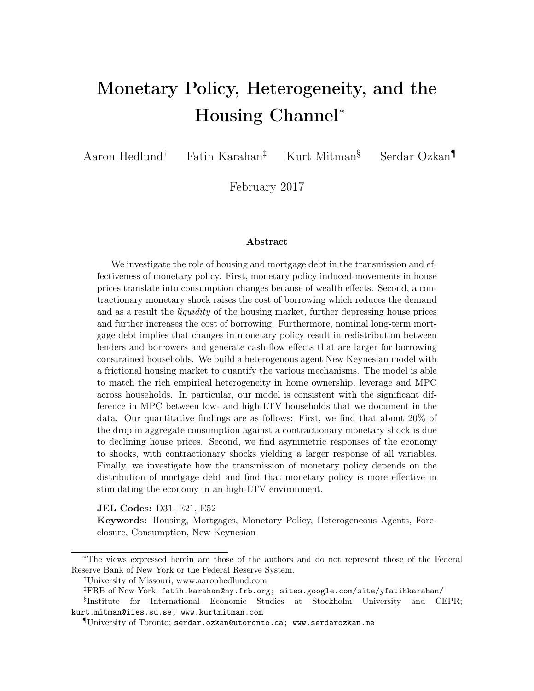# Monetary Policy, Heterogeneity, and the Housing Channel*<sup>∗</sup>*

Aaron Hedlund*†* Fatih Karahan*‡* Kurt Mitman§ Serdar Ozkan*¶*

February 2017

#### Abstract

We investigate the role of housing and mortgage debt in the transmission and effectiveness of monetary policy. First, monetary policy induced-movements in house prices translate into consumption changes because of wealth effects. Second, a contractionary monetary shock raises the cost of borrowing which reduces the demand and as a result the *liquidity* of the housing market, further depressing house prices and further increases the cost of borrowing. Furthermore, nominal long-term mortgage debt implies that changes in monetary policy result in redistribution between lenders and borrowers and generate cash-flow effects that are larger for borrowing constrained households. We build a heterogenous agent New Keynesian model with a frictional housing market to quantify the various mechanisms. The model is able to match the rich empirical heterogeneity in home ownership, leverage and MPC across households. In particular, our model is consistent with the significant difference in MPC between low- and high-LTV households that we document in the data. Our quantitative findings are as follows: First, we find that about 20% of the drop in aggregate consumption against a contractionary monetary shock is due to declining house prices. Second, we find asymmetric responses of the economy to shocks, with contractionary shocks yielding a larger response of all variables. Finally, we investigate how the transmission of monetary policy depends on the distribution of mortgage debt and find that monetary policy is more effective in stimulating the economy in an high-LTV environment.

JEL Codes: D31, E21, E52

Keywords: Housing, Mortgages, Monetary Policy, Heterogeneous Agents, Foreclosure, Consumption, New Keynesian

*<sup>∗</sup>*The views expressed herein are those of the authors and do not represent those of the Federal Reserve Bank of New York or the Federal Reserve System.

*<sup>†</sup>*University of Missouri; www.aaronhedlund.com

*<sup>‡</sup>*FRB of New York; fatih.karahan@ny.frb.org; sites.google.com/site/yfatihkarahan/ § Institute for International Economic Studies at Stockholm University and CEPR; kurt.mitman@iies.su.se; www.kurtmitman.com

*<sup>¶</sup>*University of Toronto; serdar.ozkan@utoronto.ca; www.serdarozkan.me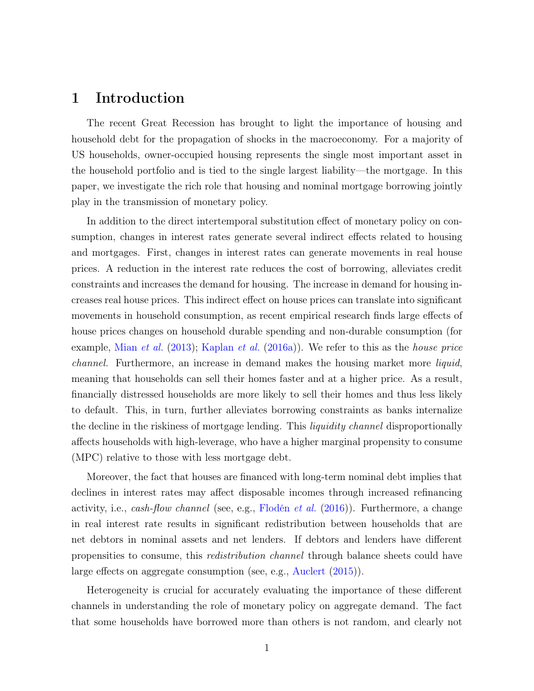## 1 Introduction

The recent Great Recession has brought to light the importance of housing and household debt for the propagation of shocks in the macroeconomy. For a majority of US households, owner-occupied housing represents the single most important asset in the household portfolio and is tied to the single largest liability—the mortgage. In this paper, we investigate the rich role that housing and nominal mortgage borrowing jointly play in the transmission of monetary policy.

In addition to the direct intertemporal substitution effect of monetary policy on consumption, changes in interest rates generate several indirect effects related to housing and mortgages. First, changes in interest rates can generate movements in real house prices. A reduction in the interest rate reduces the cost of borrowing, alleviates credit constraints and increases the demand for housing. The increase in demand for housing increases real house prices. This indirect effect on house prices can translate into significant movements in household consumption, as recent empirical research finds large effects of house prices changes on household durable spending and non-durable consumption (for example, [Mian](#page-43-0) *et al.* [\(2013](#page-43-0)); [Kaplan](#page-43-1) *et al.* ([2016a](#page-43-1))). We refer to this as the *house price channel.* Furthermore, an increase in demand makes the housing market more *liquid*, meaning that households can sell their homes faster and at a higher price. As a result, financially distressed households are more likely to sell their homes and thus less likely to default. This, in turn, further alleviates borrowing constraints as banks internalize the decline in the riskiness of mortgage lending. This *liquidity channel* disproportionally affects households with high-leverage, who have a higher marginal propensity to consume (MPC) relative to those with less mortgage debt.

Moreover, the fact that houses are financed with long-term nominal debt implies that declines in interest rates may affect disposable incomes through increased refinancing activity, i.e., *cash-flow channel* (see, e.g., [Flodén](#page-42-0) *et al.* ([2016](#page-42-0))). Furthermore, a change in real interest rate results in significant redistribution between households that are net debtors in nominal assets and net lenders. If debtors and lenders have different propensities to consume, this *redistribution channel* through balance sheets could have large effects on aggregate consumption (see, e.g., [Auclert](#page-41-0) ([2015](#page-41-0))).

Heterogeneity is crucial for accurately evaluating the importance of these different channels in understanding the role of monetary policy on aggregate demand. The fact that some households have borrowed more than others is not random, and clearly not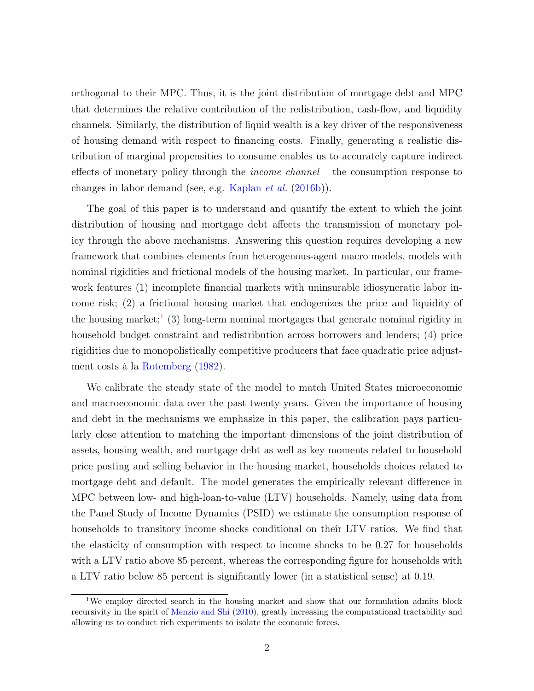orthogonal to their MPC. Thus, it is the joint distribution of mortgage debt and MPC that determines the relative contribution of the redistribution, cash-flow, and liquidity channels. Similarly, the distribution of liquid wealth is a key driver of the responsiveness of housing demand with respect to financing costs. Finally, generating a realistic distribution of marginal propensities to consume enables us to accurately capture indirect effects of monetary policy through the *income channel*—the consumption response to changes in labor demand (see, e.g. [Kaplan](#page-43-2) *et al.* [\(2016b](#page-43-2))).

The goal of this paper is to understand and quantify the extent to which the joint distribution of housing and mortgage debt affects the transmission of monetary policy through the above mechanisms. Answering this question requires developing a new framework that combines elements from heterogenous-agent macro models, models with nominal rigidities and frictional models of the housing market. In particular, our framework features (1) incomplete financial markets with uninsurable idiosyncratic labor income risk; (2) a frictional housing market that endogenizes the price and liquidity of the housing market;<sup>1</sup> (3) long-term nominal mortgages that generate nominal rigidity in household budget constraint and redistribution across borrowers and lenders; (4) price rigidities due to monopolistically competitive producers that face quadratic price adjustment costs à la [Rotemberg](#page-43-3) ([1982\)](#page-43-3).

We calibrate the steady state of the model to match United States microeconomic and macroeconomic data over the past twenty years. Given the importance of housing and debt in the mechanisms we emphasize in this paper, the calibration pays particularly close attention to matching the important dimensions of the joint distribution of assets, housing wealth, and mortgage debt as well as key moments related to household price posting and selling behavior in the housing market, households choices related to mortgage debt and default. The model generates the empirically relevant difference in MPC between low- and high-loan-to-value (LTV) households. Namely, using data from the Panel Study of Income Dynamics (PSID) we estimate the consumption response of households to transitory income shocks conditional on their LTV ratios. We find that the elasticity of consumption with respect to income shocks to be 0*.*27 for households with a LTV ratio above 85 percent, whereas the corresponding figure for households with a LTV ratio below 85 percent is significantly lower (in a statistical sense) at 0*.*19.

<sup>1</sup>We employ directed search in the housing market and show that our formulation admits block recursivity in the spirit of [Menzio and Shi](#page-43-4) [\(2010](#page-43-4)), greatly increasing the computational tractability and allowing us to conduct rich experiments to isolate the economic forces.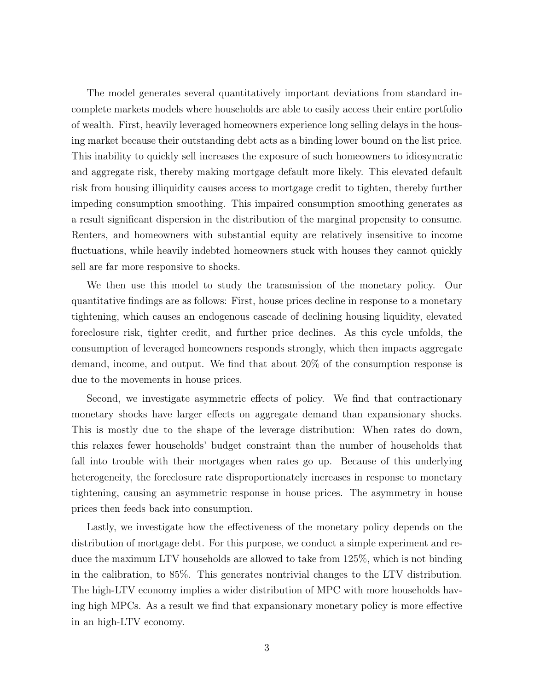The model generates several quantitatively important deviations from standard incomplete markets models where households are able to easily access their entire portfolio of wealth. First, heavily leveraged homeowners experience long selling delays in the housing market because their outstanding debt acts as a binding lower bound on the list price. This inability to quickly sell increases the exposure of such homeowners to idiosyncratic and aggregate risk, thereby making mortgage default more likely. This elevated default risk from housing illiquidity causes access to mortgage credit to tighten, thereby further impeding consumption smoothing. This impaired consumption smoothing generates as a result significant dispersion in the distribution of the marginal propensity to consume. Renters, and homeowners with substantial equity are relatively insensitive to income fluctuations, while heavily indebted homeowners stuck with houses they cannot quickly sell are far more responsive to shocks.

We then use this model to study the transmission of the monetary policy. Our quantitative findings are as follows: First, house prices decline in response to a monetary tightening, which causes an endogenous cascade of declining housing liquidity, elevated foreclosure risk, tighter credit, and further price declines. As this cycle unfolds, the consumption of leveraged homeowners responds strongly, which then impacts aggregate demand, income, and output. We find that about 20% of the consumption response is due to the movements in house prices.

Second, we investigate asymmetric effects of policy. We find that contractionary monetary shocks have larger effects on aggregate demand than expansionary shocks. This is mostly due to the shape of the leverage distribution: When rates do down, this relaxes fewer households' budget constraint than the number of households that fall into trouble with their mortgages when rates go up. Because of this underlying heterogeneity, the foreclosure rate disproportionately increases in response to monetary tightening, causing an asymmetric response in house prices. The asymmetry in house prices then feeds back into consumption.

Lastly, we investigate how the effectiveness of the monetary policy depends on the distribution of mortgage debt. For this purpose, we conduct a simple experiment and reduce the maximum LTV households are allowed to take from 125%, which is not binding in the calibration, to 85%. This generates nontrivial changes to the LTV distribution. The high-LTV economy implies a wider distribution of MPC with more households having high MPCs. As a result we find that expansionary monetary policy is more effective in an high-LTV economy.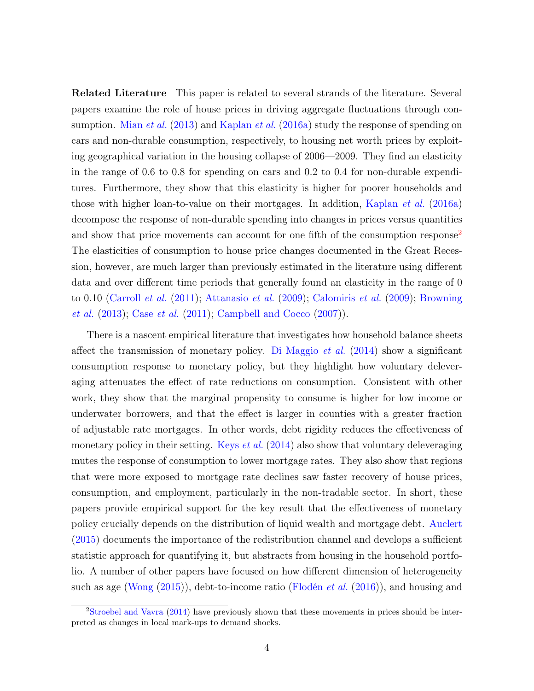Related Literature This paper is related to several strands of the literature. Several papers examine the role of house prices in driving aggregate fluctuations through consumption. [Mian](#page-43-0) *et al.* [\(2013\)](#page-43-0) and [Kaplan](#page-43-1) *et al.* [\(2016a](#page-43-1)) study the response of spending on cars and non-durable consumption, respectively, to housing net worth prices by exploiting geographical variation in the housing collapse of 2006—2009. They find an elasticity in the range of 0.6 to 0.8 for spending on cars and 0.2 to 0.4 for non-durable expenditures. Furthermore, they show that this elasticity is higher for poorer households and those with higher loan-to-value on their mortgages. In addition, [Kaplan](#page-43-1) *et al.* [\(2016a\)](#page-43-1) decompose the response of non-durable spending into changes in prices versus quantities and show that price movements can account for one fifth of the consumption response<sup>2</sup> The elasticities of consumption to house price changes documented in the Great Recession, however, are much larger than previously estimated in the literature using different data and over different time periods that generally found an elasticity in the range of 0 to 0.10 ([Carroll](#page-41-1) *et al.* [\(2011\)](#page-41-1); [Attanasio](#page-41-2) *et al.* [\(2009\)](#page-41-2); [Calomiris](#page-41-3) *et al.* [\(2009\)](#page-41-3); [Browning](#page-41-4) *[et al.](#page-41-4)* [\(2013\)](#page-41-4); Case *[et al.](#page-41-5)* ([2011](#page-41-5)); [Campbell and Cocco](#page-41-6) [\(2007\)](#page-41-6)).

There is a nascent empirical literature that investigates how household balance sheets affect the transmission of monetary policy. [Di Maggio](#page-42-1) *et al.* ([2014](#page-42-1)) show a significant consumption response to monetary policy, but they highlight how voluntary deleveraging attenuates the effect of rate reductions on consumption. Consistent with other work, they show that the marginal propensity to consume is higher for low income or underwater borrowers, and that the effect is larger in counties with a greater fraction of adjustable rate mortgages. In other words, debt rigidity reduces the effectiveness of monetary policy in their setting. [Keys](#page-43-5) *et al.* ([2014](#page-43-5)) also show that voluntary deleveraging mutes the response of consumption to lower mortgage rates. They also show that regions that were more exposed to mortgage rate declines saw faster recovery of house prices, consumption, and employment, particularly in the non-tradable sector. In short, these papers provide empirical support for the key result that the effectiveness of monetary policy crucially depends on the distribution of liquid wealth and mortgage debt. [Auclert](#page-41-0) ([2015\)](#page-41-0) documents the importance of the redistribution channel and develops a sufficient statistic approach for quantifying it, but abstracts from housing in the household portfolio. A number of other papers have focused on how different dimension of heterogeneity such as age ([Wong](#page-44-0) ([2015](#page-44-0))), debt-to-income ratio [\(Flodén](#page-42-0) *et al.* [\(2016\)](#page-42-0)), and housing and

<sup>2</sup>[Stroebel and Vavra](#page-44-1) ([2014](#page-44-1)) have previously shown that these movements in prices should be interpreted as changes in local mark-ups to demand shocks.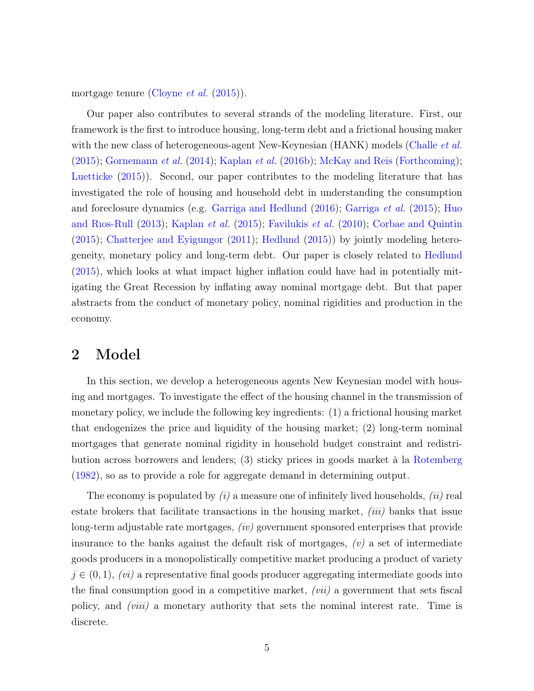mortgage tenure ([Cloyne](#page-41-7) *et al.* [\(2015\)](#page-41-7)).

Our paper also contributes to several strands of the modeling literature. First, our framework is the first to introduce housing, long-term debt and a frictional housing maker with the new class of heterogeneous-agent New-Keynesian (HANK) models ([Challe](#page-41-8) *et al.* ([2015\)](#page-41-8); [Gornemann](#page-42-2) *et al.* [\(2014\)](#page-42-2); [Kaplan](#page-43-2) *et al.* [\(2016b](#page-43-2)); [McKay and Reis](#page-43-6) ([Forthcoming](#page-43-6)); [Luetticke](#page-43-7) ([2015](#page-43-7))). Second, our paper contributes to the modeling literature that has investigated the role of housing and household debt in understanding the consumption and foreclosure dynamics (e.g. [Garriga and Hedlund](#page-42-3) ([2016](#page-42-3)); [Garriga](#page-42-4) *et al.* ([2015](#page-42-4)); [Huo](#page-42-5) [and Rıos-Rull](#page-42-5) [\(2013\)](#page-42-5); [Kaplan](#page-43-8) *et al.* ([2015](#page-43-8)); [Favilukis](#page-42-6) *et al.* [\(2010\)](#page-42-6); [Corbae and Quintin](#page-42-7) ([2015\)](#page-42-7); [Chatterjee and Eyigungor](#page-41-9) ([2011](#page-41-9)); [Hedlund](#page-42-8) ([2015](#page-42-8))) by jointly modeling heterogeneity, monetary policy and long-term debt. Our paper is closely related to [Hedlund](#page-42-8) ([2015\)](#page-42-8), which looks at what impact higher inflation could have had in potentially mitigating the Great Recession by inflating away nominal mortgage debt. But that paper abstracts from the conduct of monetary policy, nominal rigidities and production in the economy.

## 2 Model

In this section, we develop a heterogeneous agents New Keynesian model with housing and mortgages. To investigate the effect of the housing channel in the transmission of monetary policy, we include the following key ingredients: (1) a frictional housing market that endogenizes the price and liquidity of the housing market; (2) long-term nominal mortgages that generate nominal rigidity in household budget constraint and redistribution across borrowers and lenders; (3) sticky prices in goods market à la [Rotemberg](#page-43-3) ([1982\)](#page-43-3), so as to provide a role for aggregate demand in determining output.

The economy is populated by *(i)* a measure one of infinitely lived households, *(ii)* real estate brokers that facilitate transactions in the housing market, *(iii)* banks that issue long-term adjustable rate mortgages, *(iv)* government sponsored enterprises that provide insurance to the banks against the default risk of mortgages, *(v)* a set of intermediate goods producers in a monopolistically competitive market producing a product of variety *j ∈* (0*,* 1), *(vi)* a representative final goods producer aggregating intermediate goods into the final consumption good in a competitive market, *(vii)* a government that sets fiscal policy, and *(viii)* a monetary authority that sets the nominal interest rate. Time is discrete.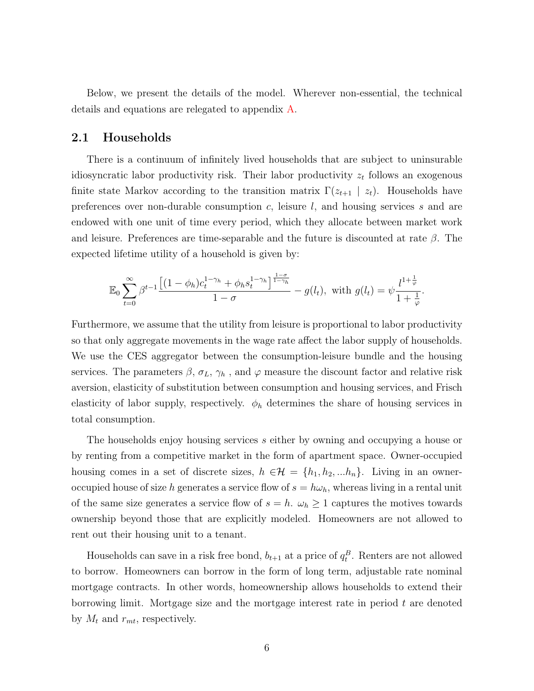Below, we present the details of the model. Wherever non-essential, the technical details and equations are relegated to appendix [A.](#page-45-0)

#### 2.1 Households

There is a continuum of infinitely lived households that are subject to uninsurable idiosyncratic labor productivity risk. Their labor productivity *z<sup>t</sup>* follows an exogenous finite state Markov according to the transition matrix  $\Gamma(z_{t+1} \mid z_t)$ . Households have preferences over non-durable consumption *c*, leisure *l*, and housing services *s* and are endowed with one unit of time every period, which they allocate between market work and leisure. Preferences are time-separable and the future is discounted at rate *β*. The expected lifetime utility of a household is given by:

$$
\mathbb{E}_0 \sum_{t=0}^{\infty} \beta^{t-1} \frac{\left[ (1 - \phi_h)c_t^{1 - \gamma_h} + \phi_h s_t^{1 - \gamma_h} \right]^{\frac{1 - \sigma}{1 - \gamma_h}}}{1 - \sigma} - g(l_t), \text{ with } g(l_t) = \psi \frac{l^{1 + \frac{1}{\varphi}}}{1 + \frac{1}{\varphi}}.
$$

Furthermore, we assume that the utility from leisure is proportional to labor productivity so that only aggregate movements in the wage rate affect the labor supply of households. We use the CES aggregator between the consumption-leisure bundle and the housing services. The parameters  $\beta$ ,  $\sigma_L$ ,  $\gamma_h$ , and  $\varphi$  measure the discount factor and relative risk aversion, elasticity of substitution between consumption and housing services, and Frisch elasticity of labor supply, respectively.  $\phi_h$  determines the share of housing services in total consumption.

The households enjoy housing services *s* either by owning and occupying a house or by renting from a competitive market in the form of apartment space. Owner-occupied housing comes in a set of discrete sizes,  $h \in \mathcal{H} = \{h_1, h_2, ... h_n\}$ . Living in an owneroccupied house of size *h* generates a service flow of  $s = h\omega_h$ , whereas living in a rental unit of the same size generates a service flow of  $s = h$ .  $\omega_h \geq 1$  captures the motives towards ownership beyond those that are explicitly modeled. Homeowners are not allowed to rent out their housing unit to a tenant.

Households can save in a risk free bond,  $b_{t+1}$  at a price of  $q_t^B$ . Renters are not allowed to borrow. Homeowners can borrow in the form of long term, adjustable rate nominal mortgage contracts. In other words, homeownership allows households to extend their borrowing limit. Mortgage size and the mortgage interest rate in period *t* are denoted by  $M_t$  and  $r_{mt}$ , respectively.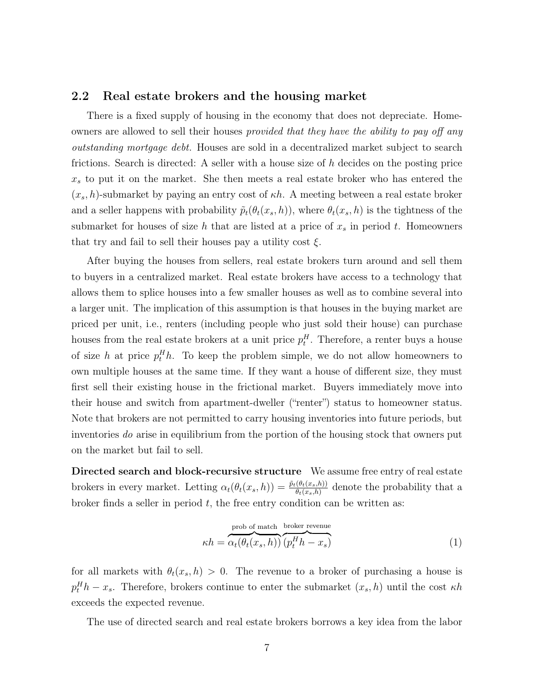#### 2.2 Real estate brokers and the housing market

There is a fixed supply of housing in the economy that does not depreciate. Homeowners are allowed to sell their houses *provided that they have the ability to pay off any outstanding mortgage debt.* Houses are sold in a decentralized market subject to search frictions. Search is directed: A seller with a house size of *h* decides on the posting price *x<sup>s</sup>* to put it on the market. She then meets a real estate broker who has entered the  $(x_s, h)$ -submarket by paying an entry cost of  $\kappa h$ . A meeting between a real estate broker and a seller happens with probability  $\tilde{p}_t(\theta_t(x_s, h))$ , where  $\theta_t(x_s, h)$  is the tightness of the submarket for houses of size *h* that are listed at a price of *x<sup>s</sup>* in period *t*. Homeowners that try and fail to sell their houses pay a utility cost *ξ*.

After buying the houses from sellers, real estate brokers turn around and sell them to buyers in a centralized market. Real estate brokers have access to a technology that allows them to splice houses into a few smaller houses as well as to combine several into a larger unit. The implication of this assumption is that houses in the buying market are priced per unit, i.e., renters (including people who just sold their house) can purchase houses from the real estate brokers at a unit price  $p_t^H$ . Therefore, a renter buys a house of size *h* at price  $p_t^H h$ . To keep the problem simple, we do not allow homeowners to own multiple houses at the same time. If they want a house of different size, they must first sell their existing house in the frictional market. Buyers immediately move into their house and switch from apartment-dweller ("renter") status to homeowner status. Note that brokers are not permitted to carry housing inventories into future periods, but inventories *do* arise in equilibrium from the portion of the housing stock that owners put on the market but fail to sell.

Directed search and block-recursive structure We assume free entry of real estate brokers in every market. Letting  $\alpha_t(\theta_t(x_s, h)) = \frac{\tilde{p}_t(\theta_t(x_s, h))}{\theta_t(x_s, h)}$  denote the probability that a broker finds a seller in period *t*, the free entry condition can be written as:

<span id="page-7-0"></span>
$$
\kappa h = \overbrace{\alpha_t(\theta_t(x_s, h))}^{\text{prob of match}} \overbrace{(p_t^H h - x_s)}^{\text{broken revenue}} \tag{1}
$$

for all markets with  $\theta_t(x_s, h) > 0$ . The revenue to a broker of purchasing a house is  $p_t^H h - x_s$ . Therefore, brokers continue to enter the submarket  $(x_s, h)$  until the cost *κh* exceeds the expected revenue.

The use of directed search and real estate brokers borrows a key idea from the labor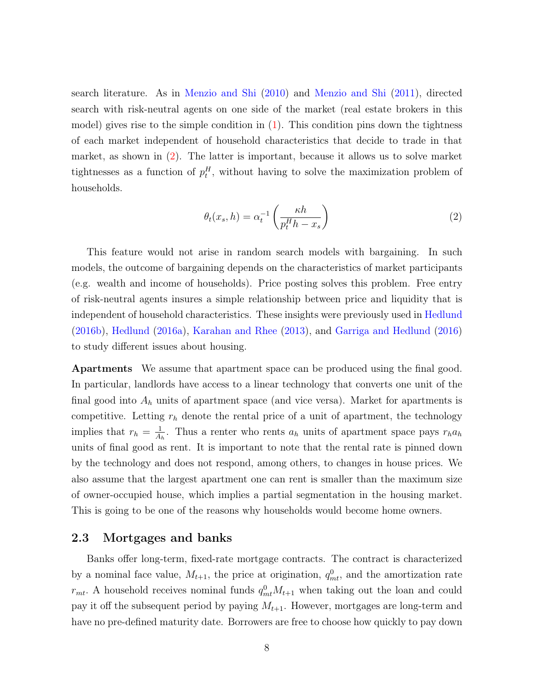search literature. As in [Menzio and Shi](#page-43-4) ([2010](#page-43-4)) and [Menzio and Shi](#page-43-9) ([2011](#page-43-9)), directed search with risk-neutral agents on one side of the market (real estate brokers in this model) gives rise to the simple condition in  $(1)$  $(1)$ . This condition pins down the tightness of each market independent of household characteristics that decide to trade in that market, as shown in ([2\)](#page-8-0). The latter is important, because it allows us to solve market tightnesses as a function of  $p_t^H$ , without having to solve the maximization problem of households.

<span id="page-8-0"></span>
$$
\theta_t(x_s, h) = \alpha_t^{-1} \left( \frac{\kappa h}{p_t^H h - x_s} \right) \tag{2}
$$

This feature would not arise in random search models with bargaining. In such models, the outcome of bargaining depends on the characteristics of market participants (e.g. wealth and income of households). Price posting solves this problem. Free entry of risk-neutral agents insures a simple relationship between price and liquidity that is independent of household characteristics. These insights were previously used in [Hedlund](#page-42-9) ([2016b](#page-42-9)), [Hedlund](#page-42-10) [\(2016a](#page-42-10)), [Karahan and Rhee](#page-43-10) [\(2013\)](#page-43-10), and [Garriga and Hedlund](#page-42-3) [\(2016\)](#page-42-3) to study different issues about housing.

Apartments We assume that apartment space can be produced using the final good. In particular, landlords have access to a linear technology that converts one unit of the final good into *A<sup>h</sup>* units of apartment space (and vice versa). Market for apartments is competitive. Letting  $r_h$  denote the rental price of a unit of apartment, the technology implies that  $r_h = \frac{1}{A}$  $\frac{1}{A_h}$ . Thus a renter who rents  $a_h$  units of apartment space pays  $r_h a_h$ units of final good as rent. It is important to note that the rental rate is pinned down by the technology and does not respond, among others, to changes in house prices. We also assume that the largest apartment one can rent is smaller than the maximum size of owner-occupied house, which implies a partial segmentation in the housing market. This is going to be one of the reasons why households would become home owners.

### 2.3 Mortgages and banks

Banks offer long-term, fixed-rate mortgage contracts. The contract is characterized by a nominal face value,  $M_{t+1}$ , the price at origination,  $q_{mt}^0$ , and the amortization rate  $r_{mt}$ . A household receives nominal funds  $q_{mt}^0 M_{t+1}$  when taking out the loan and could pay it off the subsequent period by paying  $M_{t+1}$ . However, mortgages are long-term and have no pre-defined maturity date. Borrowers are free to choose how quickly to pay down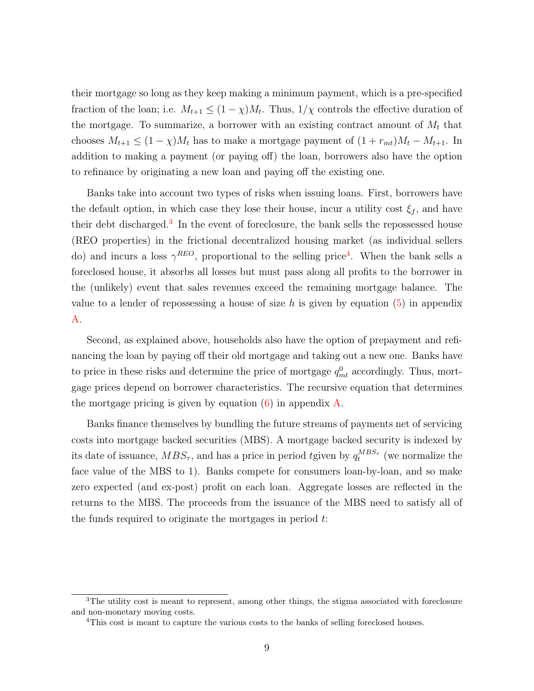their mortgage so long as they keep making a minimum payment, which is a pre-specified fraction of the loan; i.e.  $M_{t+1} \leq (1 - \chi)M_t$ . Thus,  $1/\chi$  controls the effective duration of the mortgage. To summarize, a borrower with an existing contract amount of  $M_t$  that chooses  $M_{t+1} \leq (1 - \chi)M_t$  has to make a mortgage payment of  $(1 + r_{mt})M_t - M_{t+1}$ . In addition to making a payment (or paying off) the loan, borrowers also have the option to refinance by originating a new loan and paying off the existing one.

Banks take into account two types of risks when issuing loans. First, borrowers have the default option, in which case they lose their house, incur a utility cost  $\xi_f$ , and have their debt discharged.<sup>3</sup> In the event of foreclosure, the bank sells the repossessed house (REO properties) in the frictional decentralized housing market (as individual sellers do) and incurs a loss  $\gamma^{REO}$ , proportional to the selling price<sup>4</sup>. When the bank sells a foreclosed house, it absorbs all losses but must pass along all profits to the borrower in the (unlikely) event that sales revenues exceed the remaining mortgage balance. The value to a lender of repossessing a house of size  $h$  is given by equation  $(5)$  $(5)$  in appendix [A.](#page-45-0)

Second, as explained above, households also have the option of prepayment and refinancing the loan by paying off their old mortgage and taking out a new one. Banks have to price in these risks and determine the price of mortgage  $q_{mt}^0$  accordingly. Thus, mortgage prices depend on borrower characteristics. The recursive equation that determines the mortgage pricing is given by equation  $(6)$  $(6)$  in appendix [A.](#page-45-0)

Banks finance themselves by bundling the future streams of payments net of servicing costs into mortgage backed securities (MBS). A mortgage backed security is indexed by its date of issuance,  $MBS_{\tau}$ , and has a price in period *t*given by  $q_t^{MBS_{\tau}}$  (we normalize the face value of the MBS to 1). Banks compete for consumers loan-by-loan, and so make zero expected (and ex-post) profit on each loan. Aggregate losses are reflected in the returns to the MBS. The proceeds from the issuance of the MBS need to satisfy all of the funds required to originate the mortgages in period *t*:

<sup>&</sup>lt;sup>3</sup>The utility cost is meant to represent, among other things, the stigma associated with foreclosure and non-monetary moving costs.

<sup>&</sup>lt;sup>4</sup>This cost is meant to capture the various costs to the banks of selling foreclosed houses.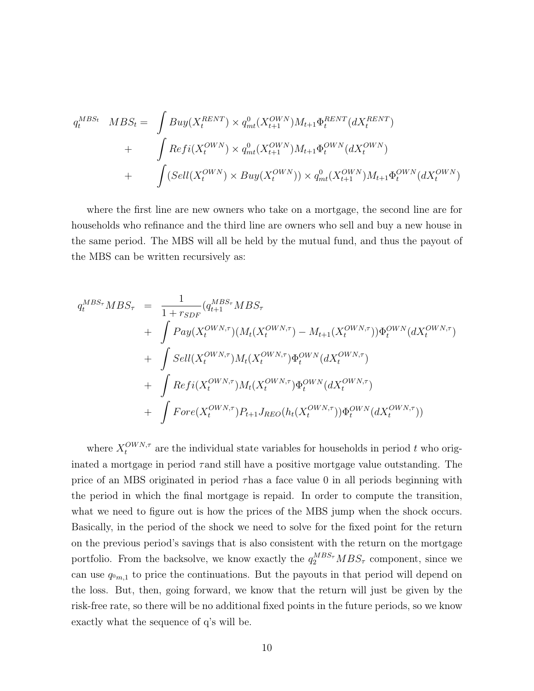$$
q_t^{MBS_t} \quad MBS_t = \int Buy(X_t^{RENT}) \times q_{mt}^0(X_{t+1}^{OWN})M_{t+1}\Phi_t^{RENT}(dX_t^{RENT})
$$
  
+ 
$$
\int Refi(X_t^{OWN}) \times q_{mt}^0(X_{t+1}^{OWN})M_{t+1}\Phi_t^{OWN}(dX_t^{OWN})
$$
  
+ 
$$
\int (Sell(X_t^{OWN}) \times Buy(X_t^{OWN})) \times q_{mt}^0(X_{t+1}^{OWN})M_{t+1}\Phi_t^{OWN}(dX_t^{OWN})
$$

where the first line are new owners who take on a mortgage, the second line are for households who refinance and the third line are owners who sell and buy a new house in the same period. The MBS will all be held by the mutual fund, and thus the payout of the MBS can be written recursively as:

$$
q_t^{MBS_{\tau}}MBS_{\tau} = \frac{1}{1 + r_{SDF}} (q_{t+1}^{MBS_{\tau}}MBS_{\tau} + \int Pay(X_t^{OWN,\tau}) (M_t(X_t^{OWN,\tau}) - M_{t+1}(X_t^{OWN,\tau})) \Phi_t^{OWN}(dX_t^{OWN,\tau}) + \int SelI(X_t^{OWN,\tau}) M_t(X_t^{OWN,\tau}) \Phi_t^{OWN}(dX_t^{OWN,\tau}) + \int Refi(X_t^{OWN,\tau}) M_t(X_t^{OWN,\tau}) \Phi_t^{OWN}(dX_t^{OWN,\tau}) + \int Force(X_t^{OWN,\tau}) P_{t+1} J_{REO}(h_t(X_t^{OWN,\tau})) \Phi_t^{OWN}(dX_t^{OWN,\tau}))
$$

where  $X_t^{OWN,\tau}$  are the individual state variables for households in period *t* who originated a mortgage in period *τ*and still have a positive mortgage value outstanding. The price of an MBS originated in period *τ*has a face value 0 in all periods beginning with the period in which the final mortgage is repaid. In order to compute the transition, what we need to figure out is how the prices of the MBS jump when the shock occurs. Basically, in the period of the shock we need to solve for the fixed point for the return on the previous period's savings that is also consistent with the return on the mortgage portfolio. From the backsolve, we know exactly the  $q_2^{MBS_{\tau}}MBS_{\tau}$  component, since we can use  $q_{0m,1}$  to price the continuations. But the payouts in that period will depend on the loss. But, then, going forward, we know that the return will just be given by the risk-free rate, so there will be no additional fixed points in the future periods, so we know exactly what the sequence of q's will be.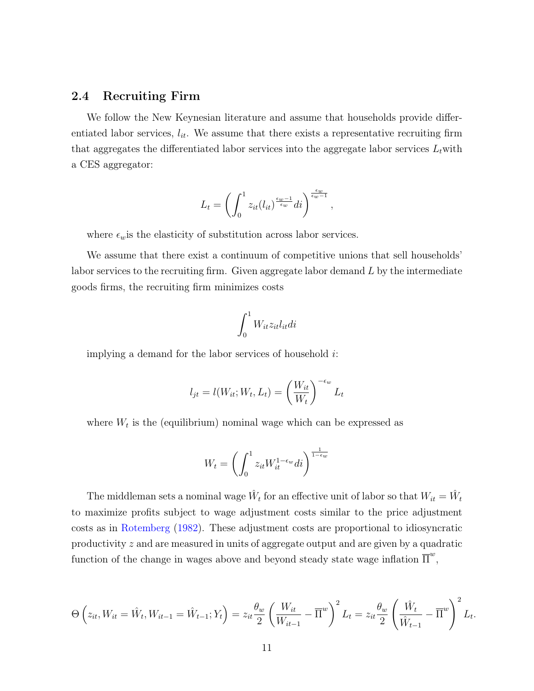#### 2.4 Recruiting Firm

We follow the New Keynesian literature and assume that households provide differentiated labor services,  $l_{it}$ . We assume that there exists a representative recruiting firm that aggregates the differentiated labor services into the aggregate labor services  $L_t$  with a CES aggregator:

$$
L_t = \left(\int_0^1 z_{it}(l_{it})^{\frac{\epsilon_w - 1}{\epsilon_w}} dt\right)^{\frac{\epsilon_w}{\epsilon_w - 1}},
$$

where  $\epsilon_w$  is the elasticity of substitution across labor services.

We assume that there exist a continuum of competitive unions that sell households' labor services to the recruiting firm. Given aggregate labor demand *L* by the intermediate goods firms, the recruiting firm minimizes costs

$$
\int_0^1 W_{it} z_{it} l_{it} di
$$

implying a demand for the labor services of household *i*:

$$
l_{jt} = l(W_{it}; W_t, L_t) = \left(\frac{W_{it}}{W_t}\right)^{-\epsilon_w} L_t
$$

where  $W_t$  is the (equilibrium) nominal wage which can be expressed as

$$
W_t = \left(\int_0^1 z_{it} W_{it}^{1-\epsilon_w} dt\right)^{\frac{1}{1-\epsilon_w}}
$$

The middleman sets a nominal wage  $\hat{W}_t$  for an effective unit of labor so that  $W_{it} = \hat{W}_t$ to maximize profits subject to wage adjustment costs similar to the price adjustment costs as in [Rotemberg](#page-43-3) ([1982\)](#page-43-3). These adjustment costs are proportional to idiosyncratic productivity *z* and are measured in units of aggregate output and are given by a quadratic function of the change in wages above and beyond steady state wage inflation  $\overline{\Pi}^w$ ,

$$
\Theta\left(z_{it}, W_{it} = \hat{W}_{t}, W_{it-1} = \hat{W}_{t-1}; Y_t\right) = z_{it} \frac{\theta_w}{2} \left(\frac{W_{it}}{W_{it-1}} - \overline{\Pi}^w\right)^2 L_t = z_{it} \frac{\theta_w}{2} \left(\frac{\hat{W}_t}{\hat{W}_{t-1}} - \overline{\Pi}^w\right)^2 L_t.
$$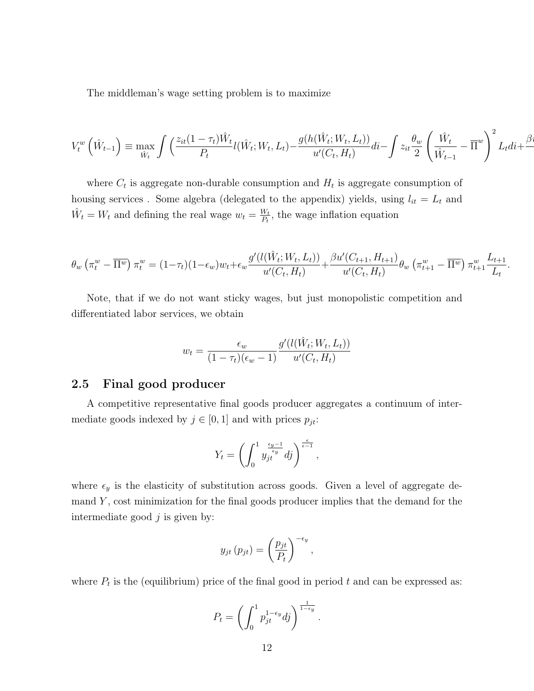The middleman's wage setting problem is to maximize

$$
V_t^w\left(\hat{W}_{t-1}\right) \equiv \max_{\hat{W}_t} \int \left(\frac{z_{it}(1-\tau_t)\hat{W}_t}{P_t} l(\hat{W}_t;W_t,L_t) - \frac{g(h(\hat{W}_t;W_t,L_t))}{u'(C_t,H_t)}di - \int z_{it}\frac{\theta_w}{2}\left(\frac{\hat{W}_t}{\hat{W}_{t-1}} - \overline{\Pi}^w\right)^2 L_t di + \frac{\beta_w}{2}\frac{\theta_w}{2}\left(\frac{\hat{W}_t}{\hat{W}_{t-1}} - \overline{\Pi}^w\right)^2 L_t di + \frac{\beta_w}{2}\frac{\theta_w}{2}\frac{\theta_w}{2}\left(\frac{\hat{W}_t}{\hat{W}_t}\right)
$$

where  $C_t$  is aggregate non-durable consumption and  $H_t$  is aggregate consumption of housing services . Some algebra (delegated to the appendix) yields, using  $l_{it} = L_t$  and  $\hat{W}_t = W_t$  and defining the real wage  $w_t = \frac{W_t}{P_t}$  $\frac{W_t}{P_t}$ , the wage inflation equation

$$
\theta_w \left( \pi_t^w - \overline{\Pi^w} \right) \pi_t^w = (1 - \tau_t)(1 - \epsilon_w)w_t + \epsilon_w \frac{g'(l(\hat{W}_t; W_t, L_t))}{u'(C_t, H_t)} + \frac{\beta u'(C_{t+1}, H_{t+1})}{u'(C_t, H_t)} \theta_w \left( \pi_{t+1}^w - \overline{\Pi^w} \right) \pi_{t+1}^w \frac{L_{t+1}}{L_t}.
$$

Note, that if we do not want sticky wages, but just monopolistic competition and differentiated labor services, we obtain

$$
w_t = \frac{\epsilon_w}{(1 - \tau_t)(\epsilon_w - 1)} \frac{g'(l(\hat{W}_t; W_t, L_t))}{u'(C_t, H_t)}
$$

### 2.5 Final good producer

A competitive representative final goods producer aggregates a continuum of intermediate goods indexed by  $j \in [0, 1]$  and with prices  $p_{jt}$ :

$$
Y_t = \left(\int_0^1 y_{jt}^{\frac{\epsilon_y - 1}{\epsilon_y}} df\right)^{\frac{\epsilon}{\epsilon - 1}},
$$

where  $\epsilon_y$  is the elasticity of substitution across goods. Given a level of aggregate demand *Y* , cost minimization for the final goods producer implies that the demand for the intermediate good *j* is given by:

$$
y_{jt}(p_{jt}) = \left(\frac{p_{jt}}{P_t}\right)^{-\epsilon_y},
$$

where  $P_t$  is the (equilibrium) price of the final good in period  $t$  and can be expressed as:

$$
P_t = \left(\int_0^1 p_{jt}^{1-\epsilon_y} dj\right)^{\frac{1}{1-\epsilon_y}}.
$$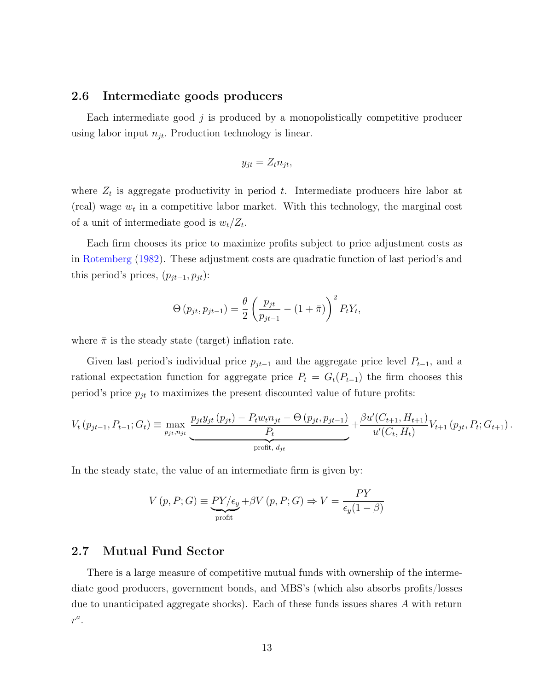#### 2.6 Intermediate goods producers

Each intermediate good *j* is produced by a monopolistically competitive producer using labor input  $n_{jt}$ . Production technology is linear.

$$
y_{jt} = Z_t n_{jt},
$$

where  $Z_t$  is aggregate productivity in period  $t$ . Intermediate producers hire labor at (real) wage  $w_t$  in a competitive labor market. With this technology, the marginal cost of a unit of intermediate good is  $w_t/Z_t$ .

Each firm chooses its price to maximize profits subject to price adjustment costs as in [Rotemberg](#page-43-3) [\(1982](#page-43-3)). These adjustment costs are quadratic function of last period's and this period's prices,  $(p_{jt-1}, p_{jt})$ :

$$
\Theta(p_{jt}, p_{jt-1}) = \frac{\theta}{2} \left( \frac{p_{jt}}{p_{jt-1}} - (1 + \bar{\pi}) \right)^2 P_t Y_t,
$$

where  $\bar{\pi}$  is the steady state (target) inflation rate.

Given last period's individual price  $p_{jt-1}$  and the aggregate price level  $P_{t-1}$ , and a rational expectation function for aggregate price  $P_t = G_t(P_{t-1})$  the firm chooses this period's price  $p_{jt}$  to maximizes the present discounted value of future profits:

$$
V_t(p_{jt-1}, P_{t-1}; G_t) \equiv \max_{p_{jt}, n_{jt}} \underbrace{\frac{p_{jt}y_{jt}(p_{jt}) - P_t w_t n_{jt} - \Theta(p_{jt}, p_{jt-1})}{P_t}}_{\text{profit}, d_{jt}} + \frac{\beta u'(C_{t+1}, H_{t+1})}{u'(C_t, H_t)} V_{t+1}(p_{jt}, P_t; G_{t+1}).
$$

In the steady state, the value of an intermediate firm is given by:

$$
V(p, P; G) \equiv \underbrace{PY/\epsilon_y}_{\text{profit}} + \beta V(p, P; G) \Rightarrow V = \frac{PY}{\epsilon_y(1 - \beta)}
$$

#### 2.7 Mutual Fund Sector

There is a large measure of competitive mutual funds with ownership of the intermediate good producers, government bonds, and MBS's (which also absorbs profits/losses due to unanticipated aggregate shocks). Each of these funds issues shares *A* with return *r a* .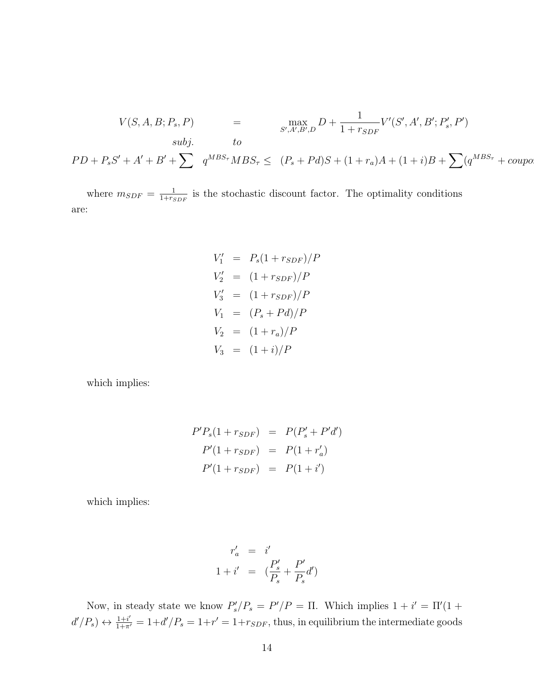$$
V(S, A, B; P_s, P) = \max_{S', A', B', D} D + \frac{1}{1 + r_{SDF}} V'(S', A', B'; P'_s, P')
$$
  
\n
$$
V(S, A, B; P_s, P) = \max_{S', A', B', D} D + \frac{1}{1 + r_{SDF}} V'(S', A', B'; P'_s, P')
$$
  
\n
$$
P D + P_s S' + A' + B' + \sum q^{MBS_{\tau}} MBS_{\tau} \le (P_s + Pd)S + (1 + r_a)A + (1 + i)B + \sum (q^{MBS_{\tau}} + \text{coupo})
$$

where  $m_{SDF} = \frac{1}{1+r_c}$  $\frac{1}{1+r_{SDF}}$  is the stochastic discount factor. The optimality conditions are:

$$
V'_1 = P_s(1 + r_{SDF})/P
$$
  
\n
$$
V'_2 = (1 + r_{SDF})/P
$$
  
\n
$$
V'_3 = (1 + r_{SDF})/P
$$
  
\n
$$
V_1 = (P_s + Pd)/P
$$
  
\n
$$
V_2 = (1 + r_a)/P
$$
  
\n
$$
V_3 = (1 + i)/P
$$

which implies:

$$
P'P_s(1 + r_{SDF}) = P(P'_s + P'd')
$$
  

$$
P'(1 + r_{SDF}) = P(1 + r'_a)
$$
  

$$
P'(1 + r_{SDF}) = P(1 + i')
$$

which implies:

$$
r'_a = i'
$$
  

$$
1 + i' = \left(\frac{P'_s}{P_s} + \frac{P'}{P_s}d'\right)
$$

Now, in steady state we know  $P'_s/P_s = P'/P = \Pi$ . Which implies  $1 + i' = \Pi'(1 +$  $d'/P_s$ )  $\leftrightarrow \frac{1+i'}{1+\pi'} = 1+d'/P_s = 1+r' = 1+r_{SDF}$ , thus, in equilibrium the intermediate goods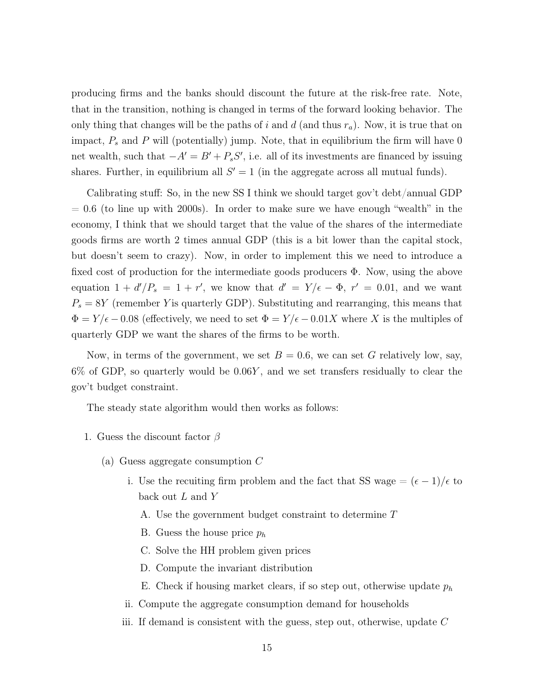producing firms and the banks should discount the future at the risk-free rate. Note, that in the transition, nothing is changed in terms of the forward looking behavior. The only thing that changes will be the paths of *i* and *d* (and thus *ra*). Now, it is true that on impact, *P<sup>s</sup>* and *P* will (potentially) jump. Note, that in equilibrium the firm will have 0 net wealth, such that  $-A' = B' + P_s S'$ , i.e. all of its investments are financed by issuing shares. Further, in equilibrium all  $S' = 1$  (in the aggregate across all mutual funds).

Calibrating stuff: So, in the new SS I think we should target gov't debt/annual GDP  $= 0.6$  (to line up with 2000s). In order to make sure we have enough "wealth" in the economy, I think that we should target that the value of the shares of the intermediate goods firms are worth 2 times annual GDP (this is a bit lower than the capital stock, but doesn't seem to crazy). Now, in order to implement this we need to introduce a fixed cost of production for the intermediate goods producers Φ. Now, using the above equation  $1 + d'/P_s = 1 + r'$ , we know that  $d' = Y/\epsilon - \Phi$ ,  $r' = 0.01$ , and we want  $P_s = 8Y$  (remember *Y* is quarterly GDP). Substituting and rearranging, this means that  $\Phi = Y/\epsilon - 0.08$  (effectively, we need to set  $\Phi = Y/\epsilon - 0.01X$  where X is the multiples of quarterly GDP we want the shares of the firms to be worth.

Now, in terms of the government, we set  $B = 0.6$ , we can set G relatively low, say, 6% of GDP, so quarterly would be 0*.*06*Y* , and we set transfers residually to clear the gov't budget constraint.

The steady state algorithm would then works as follows:

- 1. Guess the discount factor *β*
	- (a) Guess aggregate consumption *C*
		- i. Use the recuiting firm problem and the fact that SS wage =  $(\epsilon 1)/\epsilon$  to back out *L* and *Y*
			- A. Use the government budget constraint to determine *T*
			- B. Guess the house price *p<sup>h</sup>*
			- C. Solve the HH problem given prices
			- D. Compute the invariant distribution
			- E. Check if housing market clears, if so step out, otherwise update  $p_h$
		- ii. Compute the aggregate consumption demand for households
		- iii. If demand is consistent with the guess, step out, otherwise, update *C*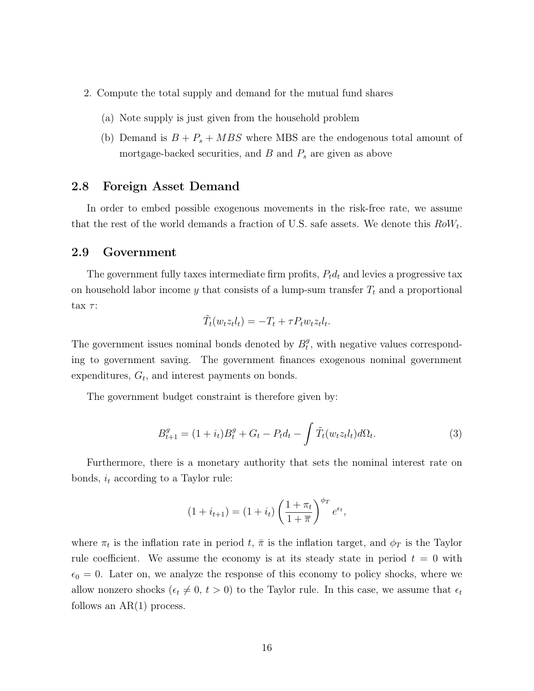- 2. Compute the total supply and demand for the mutual fund shares
	- (a) Note supply is just given from the household problem
	- (b) Demand is  $B + P_s + MBS$  where MBS are the endogenous total amount of mortgage-backed securities, and *B* and *P<sup>s</sup>* are given as above

#### 2.8 Foreign Asset Demand

In order to embed possible exogenous movements in the risk-free rate, we assume that the rest of the world demands a fraction of U.S. safe assets. We denote this *RoW<sup>t</sup>* .

#### 2.9 Government

The government fully taxes intermediate firm profits, *Ptd<sup>t</sup>* and levies a progressive tax on household labor income *y* that consists of a lump-sum transfer *T<sup>t</sup>* and a proportional tax *τ* :

$$
\tilde{T}_t(w_t z_t l_t) = -T_t + \tau P_t w_t z_t l_t.
$$

The government issues nominal bonds denoted by  $B_t^g$  $t<sub>t</sub><sup>g</sup>$ , with negative values corresponding to government saving. The government finances exogenous nominal government expenditures,  $G_t$ , and interest payments on bonds.

The government budget constraint is therefore given by:

$$
B_{t+1}^{g} = (1 + i_t)B_t^g + G_t - P_t d_t - \int \tilde{T}_t(w_t z_t l_t) d\Omega_t.
$$
 (3)

Furthermore, there is a monetary authority that sets the nominal interest rate on bonds, *i<sup>t</sup>* according to a Taylor rule:

$$
(1 + i_{t+1}) = (1 + i_t) \left(\frac{1 + \pi_t}{1 + \overline{\pi}}\right)^{\phi_T} e^{\epsilon_t},
$$

where  $\pi_t$  is the inflation rate in period  $t$ ,  $\bar{\pi}$  is the inflation target, and  $\phi_T$  is the Taylor rule coefficient. We assume the economy is at its steady state in period  $t = 0$  with  $\epsilon_0 = 0$ . Later on, we analyze the response of this economy to policy shocks, where we allow nonzero shocks ( $\epsilon_t \neq 0, t > 0$ ) to the Taylor rule. In this case, we assume that  $\epsilon_t$ follows an  $AR(1)$  process.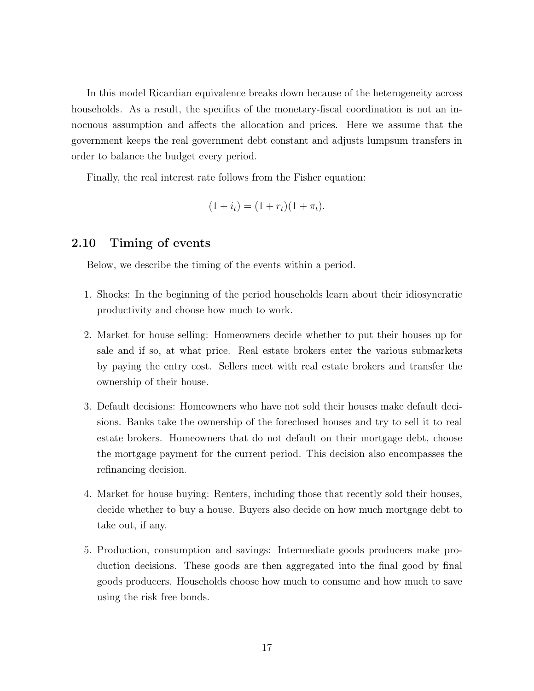In this model Ricardian equivalence breaks down because of the heterogeneity across households. As a result, the specifics of the monetary-fiscal coordination is not an innocuous assumption and affects the allocation and prices. Here we assume that the government keeps the real government debt constant and adjusts lumpsum transfers in order to balance the budget every period.

Finally, the real interest rate follows from the Fisher equation:

$$
(1 + i_t) = (1 + r_t)(1 + \pi_t).
$$

#### 2.10 Timing of events

Below, we describe the timing of the events within a period.

- 1. Shocks: In the beginning of the period households learn about their idiosyncratic productivity and choose how much to work.
- 2. Market for house selling: Homeowners decide whether to put their houses up for sale and if so, at what price. Real estate brokers enter the various submarkets by paying the entry cost. Sellers meet with real estate brokers and transfer the ownership of their house.
- 3. Default decisions: Homeowners who have not sold their houses make default decisions. Banks take the ownership of the foreclosed houses and try to sell it to real estate brokers. Homeowners that do not default on their mortgage debt, choose the mortgage payment for the current period. This decision also encompasses the refinancing decision.
- 4. Market for house buying: Renters, including those that recently sold their houses, decide whether to buy a house. Buyers also decide on how much mortgage debt to take out, if any.
- 5. Production, consumption and savings: Intermediate goods producers make production decisions. These goods are then aggregated into the final good by final goods producers. Households choose how much to consume and how much to save using the risk free bonds.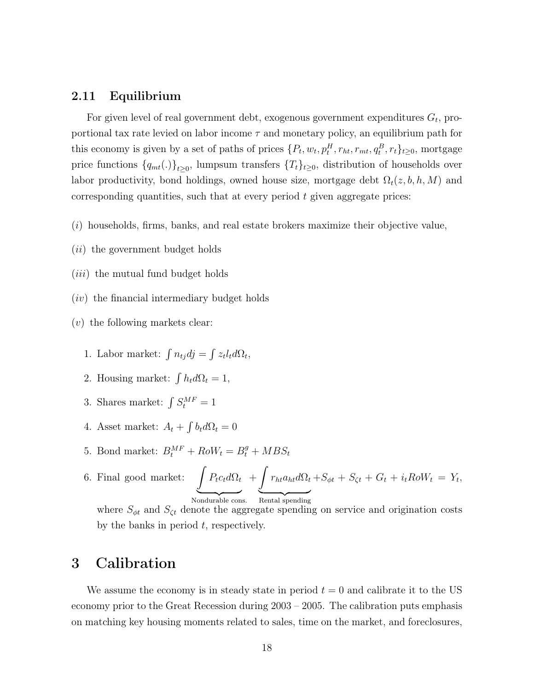#### 2.11 Equilibrium

For given level of real government debt, exogenous government expenditures *G<sup>t</sup>* , proportional tax rate levied on labor income *τ* and monetary policy, an equilibrium path for this economy is given by a set of paths of prices  $\{P_t, w_t, p_t^H, r_{ht}, r_{mt}, q_t^B, r_t\}_{t\geq 0}$ , mortgage price functions  ${q_{mt}}(.)$ <sub> $t \ge 0$ </sub>, lumpsum transfers  ${T_t}_{t \ge 0}$ , distribution of households over labor productivity, bond holdings, owned house size, mortgage debt  $\Omega_t(z, b, h, M)$  and corresponding quantities, such that at every period *t* given aggregate prices:

- (*i*) households, firms, banks, and real estate brokers maximize their objective value,
- (*ii*) the government budget holds
- (*iii*) the mutual fund budget holds
- (*iv*) the financial intermediary budget holds
- (*v*) the following markets clear:
	- 1. Labor market:  $\int n_{tj}dj = \int z_t l_t d\Omega_t$ ,
	- 2. Housing market:  $\int h_t d\Omega_t = 1$ ,
	- 3. Shares market:  $\int S_t^{MF} = 1$
	- 4. Asset market:  $A_t + \int b_t d\Omega_t = 0$
	- 5. Bond market:  $B_t^{MF} + Row_t = B_t^g + MBS_t$
	- 6. Final good market:  $\int P_t c_t d\Omega_t$ Nondurable cons.  $+$  $\int r_{ht}a_{ht}d\Omega_t$ Rental spending  $+S_{\phi t} + S_{\zeta t} + G_t + i_t R \delta W_t = Y_t$

where  $S_{\phi t}$  and  $S_{\zeta t}$  denote the aggregate spending on service and origination costs by the banks in period *t*, respectively.

# 3 Calibration

We assume the economy is in steady state in period  $t = 0$  and calibrate it to the US economy prior to the Great Recession during 2003 – 2005. The calibration puts emphasis on matching key housing moments related to sales, time on the market, and foreclosures,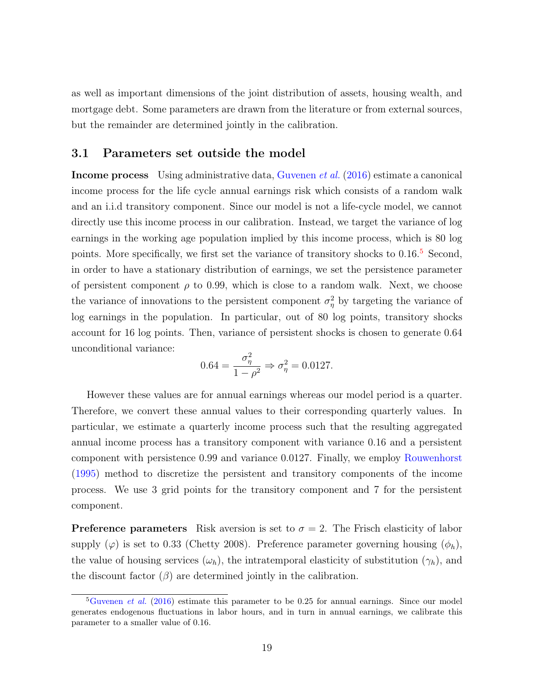as well as important dimensions of the joint distribution of assets, housing wealth, and mortgage debt. Some parameters are drawn from the literature or from external sources, but the remainder are determined jointly in the calibration.

#### 3.1 Parameters set outside the model

Income process Using administrative data, [Guvenen](#page-42-11) *et al.* ([2016](#page-42-11)) estimate a canonical income process for the life cycle annual earnings risk which consists of a random walk and an i.i.d transitory component. Since our model is not a life-cycle model, we cannot directly use this income process in our calibration. Instead, we target the variance of log earnings in the working age population implied by this income process, which is 80 log points. More specifically, we first set the variance of transitory shocks to 0.16.<sup>5</sup> Second, in order to have a stationary distribution of earnings, we set the persistence parameter of persistent component  $\rho$  to 0.99, which is close to a random walk. Next, we choose the variance of innovations to the persistent component  $\sigma_{\eta}^2$  by targeting the variance of log earnings in the population. In particular, out of 80 log points, transitory shocks account for 16 log points. Then, variance of persistent shocks is chosen to generate 0.64 unconditional variance:

$$
0.64 = \frac{\sigma_{\eta}^{2}}{1 - \rho^{2}} \Rightarrow \sigma_{\eta}^{2} = 0.0127.
$$

However these values are for annual earnings whereas our model period is a quarter. Therefore, we convert these annual values to their corresponding quarterly values. In particular, we estimate a quarterly income process such that the resulting aggregated annual income process has a transitory component with variance 0.16 and a persistent component with persistence 0.99 and variance 0.0127. Finally, we employ [Rouwenhorst](#page-44-2) ([1995\)](#page-44-2) method to discretize the persistent and transitory components of the income process. We use 3 grid points for the transitory component and 7 for the persistent component.

**Preference parameters** Risk aversion is set to  $\sigma = 2$ . The Frisch elasticity of labor supply  $(\varphi)$  is set to 0.33 (Chetty 2008). Preference parameter governing housing  $(\phi_h)$ , the value of housing services  $(\omega_h)$ , the intratemporal elasticity of substitution  $(\gamma_h)$ , and the discount factor  $(\beta)$  are determined jointly in the calibration.

<sup>&</sup>lt;sup>5</sup>[Guvenen](#page-42-11) *et al.* [\(2016](#page-42-11)) estimate this parameter to be 0.25 for annual earnings. Since our model generates endogenous fluctuations in labor hours, and in turn in annual earnings, we calibrate this parameter to a smaller value of 0.16.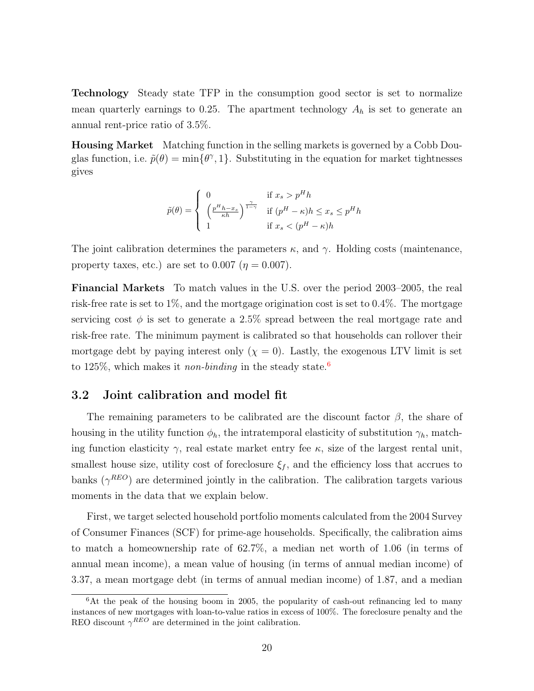Technology Steady state TFP in the consumption good sector is set to normalize mean quarterly earnings to 0.25. The apartment technology  $A_h$  is set to generate an annual rent-price ratio of 3.5%.

Housing Market Matching function in the selling markets is governed by a Cobb Douglas function, i.e.  $\tilde{p}(\theta) = \min{\lbrace \theta^{\gamma}, 1 \rbrace}$ . Substituting in the equation for market tightnesses gives

$$
\tilde{p}(\theta) = \begin{cases}\n0 & \text{if } x_s > p^H h \\
\left(\frac{p^H h - x_s}{\kappa h}\right)^{\frac{\gamma}{1 - \gamma}} & \text{if } (p^H - \kappa)h \le x_s \le p^H h \\
1 & \text{if } x_s < (p^H - \kappa)h\n\end{cases}
$$

The joint calibration determines the parameters *κ*, and *γ*. Holding costs (maintenance, property taxes, etc.) are set to  $0.007$  ( $\eta = 0.007$ ).

Financial Markets To match values in the U.S. over the period 2003–2005, the real risk-free rate is set to 1%, and the mortgage origination cost is set to 0.4%. The mortgage servicing cost  $\phi$  is set to generate a 2.5% spread between the real mortgage rate and risk-free rate. The minimum payment is calibrated so that households can rollover their mortgage debt by paying interest only  $(\chi = 0)$ . Lastly, the exogenous LTV limit is set to 125%, which makes it *non-binding* in the steady state.6

#### 3.2 Joint calibration and model fit

The remaining parameters to be calibrated are the discount factor  $\beta$ , the share of housing in the utility function  $\phi_h$ , the intratemporal elasticity of substitution  $\gamma_h$ , matching function elasticity  $\gamma$ , real estate market entry fee  $\kappa$ , size of the largest rental unit, smallest house size, utility cost of foreclosure  $\xi_f$ , and the efficiency loss that accrues to banks  $(\gamma^{REO})$  are determined jointly in the calibration. The calibration targets various moments in the data that we explain below.

First, we target selected household portfolio moments calculated from the 2004 Survey of Consumer Finances (SCF) for prime-age households. Specifically, the calibration aims to match a homeownership rate of 62.7%, a median net worth of 1.06 (in terms of annual mean income), a mean value of housing (in terms of annual median income) of 3.37, a mean mortgage debt (in terms of annual median income) of 1.87, and a median

<sup>&</sup>lt;sup>6</sup>At the peak of the housing boom in 2005, the popularity of cash-out refinancing led to many instances of new mortgages with loan-to-value ratios in excess of 100%. The foreclosure penalty and the REO discount  $\gamma^{REO}$  are determined in the joint calibration.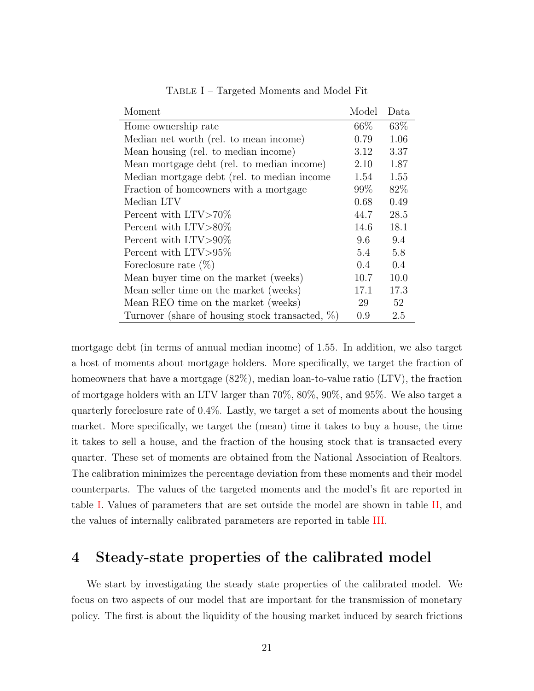<span id="page-21-0"></span>

| Moment                                              | Model | Data |
|-----------------------------------------------------|-------|------|
| Home ownership rate                                 | 66\%  | 63%  |
| Median net worth (rel. to mean income)              | 0.79  | 1.06 |
| Mean housing (rel. to median income)                | 3.12  | 3.37 |
| Mean mortgage debt (rel. to median income)          | 2.10  | 1.87 |
| Median mortgage debt (rel. to median income         | 1.54  | 1.55 |
| Fraction of homeowners with a mortgage              | 99\%  | 82%  |
| Median LTV                                          | 0.68  | 0.49 |
| Percent with $LTV > 70\%$                           | 44.7  | 28.5 |
| Percent with LTV>80\%                               | 14.6  | 18.1 |
| Percent with $LTV > 90\%$                           | 9.6   | 9.4  |
| Percent with $LTV > 95\%$                           | 5.4   | 5.8  |
| Foreclosure rate $(\%)$                             | 0.4   | 0.4  |
| Mean buyer time on the market (weeks)               | 10.7  | 10.0 |
| Mean seller time on the market (weeks)              | 17.1  | 17.3 |
| Mean REO time on the market (weeks)                 | 29    | 52   |
| Turnover (share of housing stock transacted, $\%$ ) | 0.9   | 2.5  |

TABLE I – Targeted Moments and Model Fit

mortgage debt (in terms of annual median income) of 1.55. In addition, we also target a host of moments about mortgage holders. More specifically, we target the fraction of homeowners that have a mortgage (82%), median loan-to-value ratio (LTV), the fraction of mortgage holders with an LTV larger than 70%, 80%, 90%, and 95%. We also target a quarterly foreclosure rate of 0.4%. Lastly, we target a set of moments about the housing market. More specifically, we target the (mean) time it takes to buy a house, the time it takes to sell a house, and the fraction of the housing stock that is transacted every quarter. These set of moments are obtained from the National Association of Realtors. The calibration minimizes the percentage deviation from these moments and their model counterparts. The values of the targeted moments and the model's fit are reported in table [I.](#page-21-0) Values of parameters that are set outside the model are shown in table [II,](#page-22-0) and the values of internally calibrated parameters are reported in table [III.](#page-23-0)

## 4 Steady-state properties of the calibrated model

We start by investigating the steady state properties of the calibrated model. We focus on two aspects of our model that are important for the transmission of monetary policy. The first is about the liquidity of the housing market induced by search frictions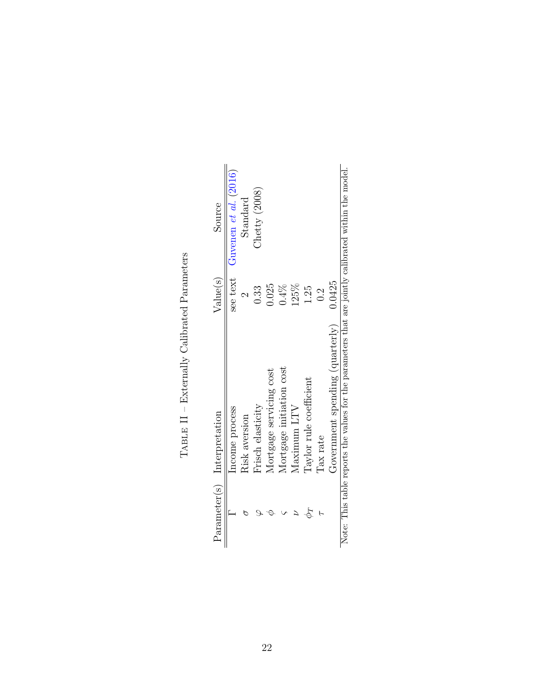<span id="page-22-0"></span>

|    | Parameter(s) Interpretation                                                                         | Value(s) | Source                |
|----|-----------------------------------------------------------------------------------------------------|----------|-----------------------|
|    | Income process                                                                                      | see text | Guvenen et al. (2016) |
|    | Risk aversion                                                                                       |          | Standard              |
|    | Frisch elasticity                                                                                   | 0.33     | Checky(2008))         |
|    | Mortgage servicing cost                                                                             | 0.25     |                       |
|    | Mortgage initiation cost                                                                            | $0.4\%$  |                       |
|    | Maximum LTV                                                                                         | 125%     |                       |
| PF | Taylor rule coefficient                                                                             | 1.25     |                       |
|    | Tax rate                                                                                            | 0.2      |                       |
|    | Government spending (quarterly)                                                                     | 0.0425   |                       |
|    | Note: This table reports the values for the parameters that are jointly calibrated within the model |          |                       |

TABLE  $II$  – Externally Calibrated Parameters TABLE  $II$  – Externally Calibrated Parameters

Note: This table reports the values for the parameters that are jointly calibrated within the model. 5 5. ָט<br>⊃ Ĕ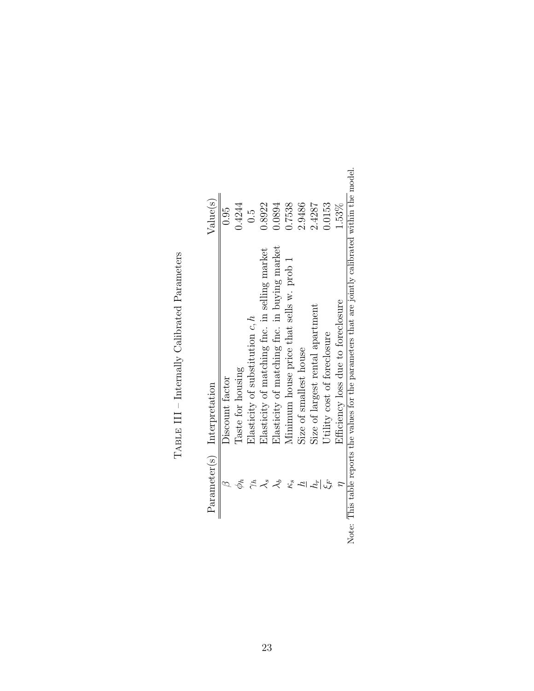| <b>Changed Changed Changed</b><br>ļ |
|-------------------------------------|
| $\frac{4}{5}$<br>:<br>Ì             |
| i<br>ֺ֚<br>י<br>י<br>ׇ֚֡<br>l       |
| ;<br>I<br> <br> <br> <br>ŀ          |

<span id="page-23-0"></span>

| Value(s)                    | 0.95            | 0.4244            | $\frac{5}{2}$                     | 0.8922                                        | 0.0894                                       | 0.7538                                   | 2.9486                 | 2.4287                           | 0.0153                      | 1.53%                              |                                                                                             |
|-----------------------------|-----------------|-------------------|-----------------------------------|-----------------------------------------------|----------------------------------------------|------------------------------------------|------------------------|----------------------------------|-----------------------------|------------------------------------|---------------------------------------------------------------------------------------------|
| Parameter(s) Interpretation | Discount factor | Taste for housing | Elasticity of substitution $c, h$ | Elasticity of matching fnc. in selling market | Elasticity of matching fnc. in buying market | Minimum house price that sells w. prob 1 | Size of smallest house | Size of largest rental apartment | Utility cost of foreclosure | Efficiency loss due to foreclosure | This table reports the values for the parameters that are jointly calibrated within the $p$ |
|                             |                 |                   |                                   |                                               | さ                                            | ξ,                                       |                        | i,                               | ہے<br>م                     |                                    |                                                                                             |

the model. Note: This table reports the values for the parameters that are jointly calibrated within the model. E Note: Thi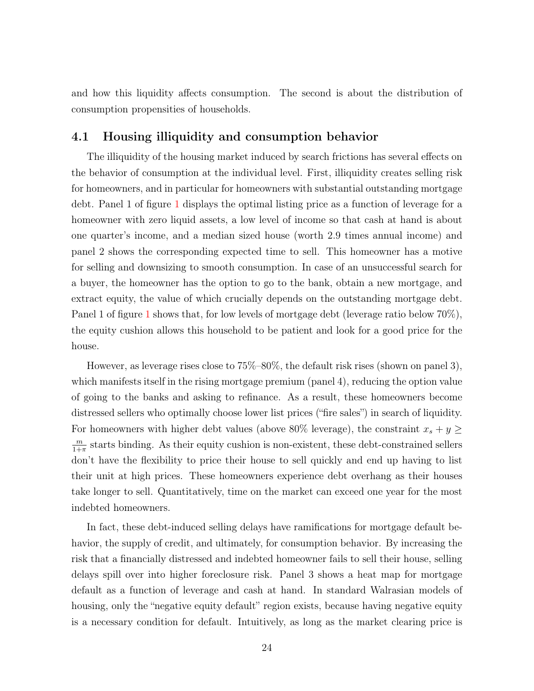and how this liquidity affects consumption. The second is about the distribution of consumption propensities of households.

### 4.1 Housing illiquidity and consumption behavior

The illiquidity of the housing market induced by search frictions has several effects on the behavior of consumption at the individual level. First, illiquidity creates selling risk for homeowners, and in particular for homeowners with substantial outstanding mortgage debt. Panel 1 of figure [1](#page-25-0) displays the optimal listing price as a function of leverage for a homeowner with zero liquid assets, a low level of income so that cash at hand is about one quarter's income, and a median sized house (worth 2.9 times annual income) and panel 2 shows the corresponding expected time to sell. This homeowner has a motive for selling and downsizing to smooth consumption. In case of an unsuccessful search for a buyer, the homeowner has the option to go to the bank, obtain a new mortgage, and extract equity, the value of which crucially depends on the outstanding mortgage debt. Panel [1](#page-25-0) of figure 1 shows that, for low levels of mortgage debt (leverage ratio below 70%), the equity cushion allows this household to be patient and look for a good price for the house.

However, as leverage rises close to 75%–80%, the default risk rises (shown on panel 3), which manifests itself in the rising mortgage premium (panel 4), reducing the option value of going to the banks and asking to refinance. As a result, these homeowners become distressed sellers who optimally choose lower list prices ("fire sales") in search of liquidity. For homeowners with higher debt values (above 80% leverage), the constraint  $x_s + y \geq 0$ *m*  $\frac{m}{1+\pi}$  starts binding. As their equity cushion is non-existent, these debt-constrained sellers don't have the flexibility to price their house to sell quickly and end up having to list their unit at high prices. These homeowners experience debt overhang as their houses take longer to sell. Quantitatively, time on the market can exceed one year for the most indebted homeowners.

In fact, these debt-induced selling delays have ramifications for mortgage default behavior, the supply of credit, and ultimately, for consumption behavior. By increasing the risk that a financially distressed and indebted homeowner fails to sell their house, selling delays spill over into higher foreclosure risk. Panel 3 shows a heat map for mortgage default as a function of leverage and cash at hand. In standard Walrasian models of housing, only the "negative equity default" region exists, because having negative equity is a necessary condition for default. Intuitively, as long as the market clearing price is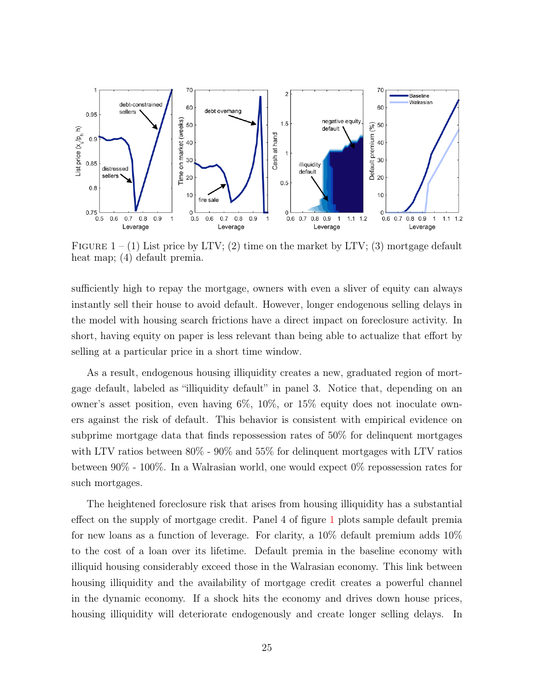<span id="page-25-0"></span>

FIGURE  $1 - (1)$  List price by LTV; (2) time on the market by LTV; (3) mortgage default heat map; (4) default premia.

sufficiently high to repay the mortgage, owners with even a sliver of equity can always instantly sell their house to avoid default. However, longer endogenous selling delays in the model with housing search frictions have a direct impact on foreclosure activity. In short, having equity on paper is less relevant than being able to actualize that effort by selling at a particular price in a short time window.

As a result, endogenous housing illiquidity creates a new, graduated region of mortgage default, labeled as "illiquidity default" in panel 3. Notice that, depending on an owner's asset position, even having 6%, 10%, or 15% equity does not inoculate owners against the risk of default. This behavior is consistent with empirical evidence on subprime mortgage data that finds repossession rates of 50% for delinquent mortgages with LTV ratios between 80% - 90% and 55% for delinquent mortgages with LTV ratios between 90% - 100%. In a Walrasian world, one would expect 0% repossession rates for such mortgages.

The heightened foreclosure risk that arises from housing illiquidity has a substantial effect on the supply of mortgage credit. Panel 4 of figure [1](#page-25-0) plots sample default premia for new loans as a function of leverage. For clarity, a 10% default premium adds 10% to the cost of a loan over its lifetime. Default premia in the baseline economy with illiquid housing considerably exceed those in the Walrasian economy. This link between housing illiquidity and the availability of mortgage credit creates a powerful channel in the dynamic economy. If a shock hits the economy and drives down house prices, housing illiquidity will deteriorate endogenously and create longer selling delays. In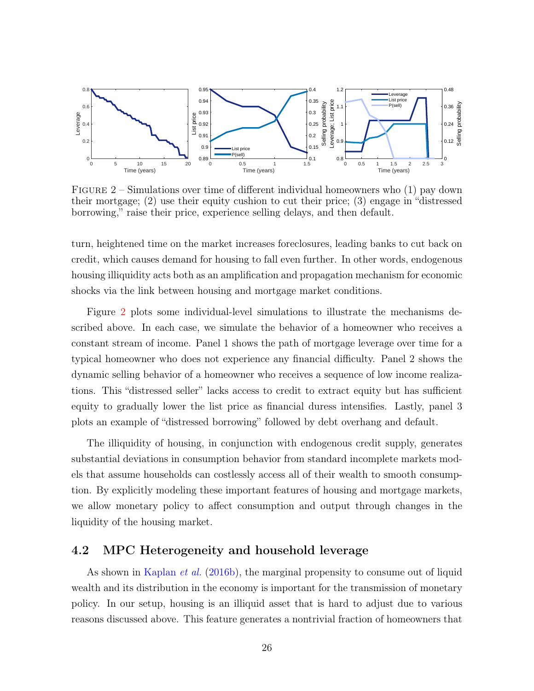<span id="page-26-0"></span>

FIGURE  $2$  – Simulations over time of different individual homeowners who  $(1)$  pay down their mortgage; (2) use their equity cushion to cut their price; (3) engage in "distressed borrowing," raise their price, experience selling delays, and then default.

turn, heightened time on the market increases foreclosures, leading banks to cut back on credit, which causes demand for housing to fall even further. In other words, endogenous housing illiquidity acts both as an amplification and propagation mechanism for economic shocks via the link between housing and mortgage market conditions.

Figure [2](#page-26-0) plots some individual-level simulations to illustrate the mechanisms described above. In each case, we simulate the behavior of a homeowner who receives a constant stream of income. Panel 1 shows the path of mortgage leverage over time for a typical homeowner who does not experience any financial difficulty. Panel 2 shows the dynamic selling behavior of a homeowner who receives a sequence of low income realizations. This "distressed seller" lacks access to credit to extract equity but has sufficient equity to gradually lower the list price as financial duress intensifies. Lastly, panel 3 plots an example of "distressed borrowing" followed by debt overhang and default.

The illiquidity of housing, in conjunction with endogenous credit supply, generates substantial deviations in consumption behavior from standard incomplete markets models that assume households can costlessly access all of their wealth to smooth consumption. By explicitly modeling these important features of housing and mortgage markets, we allow monetary policy to affect consumption and output through changes in the liquidity of the housing market.

#### 4.2 MPC Heterogeneity and household leverage

As shown in [Kaplan](#page-43-2) *et al.* ([2016b\)](#page-43-2), the marginal propensity to consume out of liquid wealth and its distribution in the economy is important for the transmission of monetary policy. In our setup, housing is an illiquid asset that is hard to adjust due to various reasons discussed above. This feature generates a nontrivial fraction of homeowners that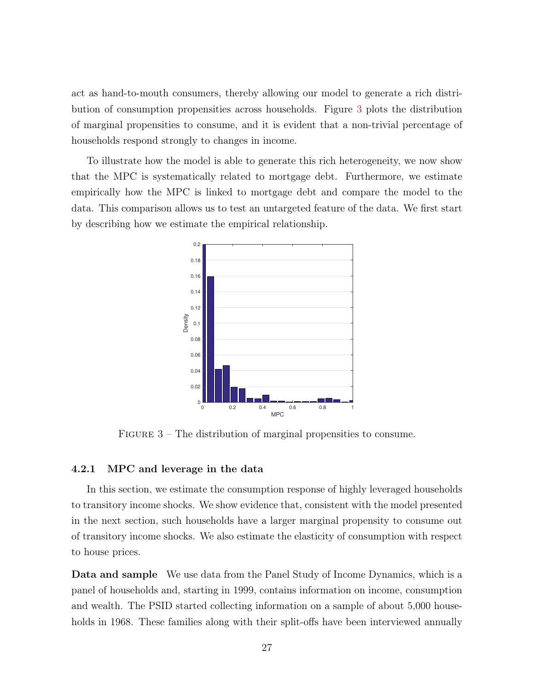act as hand-to-mouth consumers, thereby allowing our model to generate a rich distribution of consumption propensities across households. Figure [3](#page-27-0) plots the distribution of marginal propensities to consume, and it is evident that a non-trivial percentage of households respond strongly to changes in income.

<span id="page-27-0"></span>To illustrate how the model is able to generate this rich heterogeneity, we now show that the MPC is systematically related to mortgage debt. Furthermore, we estimate empirically how the MPC is linked to mortgage debt and compare the model to the data. This comparison allows us to test an untargeted feature of the data. We first start by describing how we estimate the empirical relationship.



FIGURE  $3$  – The distribution of marginal propensities to consume.

#### 4.2.1 MPC and leverage in the data

In this section, we estimate the consumption response of highly leveraged households to transitory income shocks. We show evidence that, consistent with the model presented in the next section, such households have a larger marginal propensity to consume out of transitory income shocks. We also estimate the elasticity of consumption with respect to house prices.

Data and sample We use data from the Panel Study of Income Dynamics, which is a panel of households and, starting in 1999, contains information on income, consumption and wealth. The PSID started collecting information on a sample of about 5,000 households in 1968. These families along with their split-offs have been interviewed annually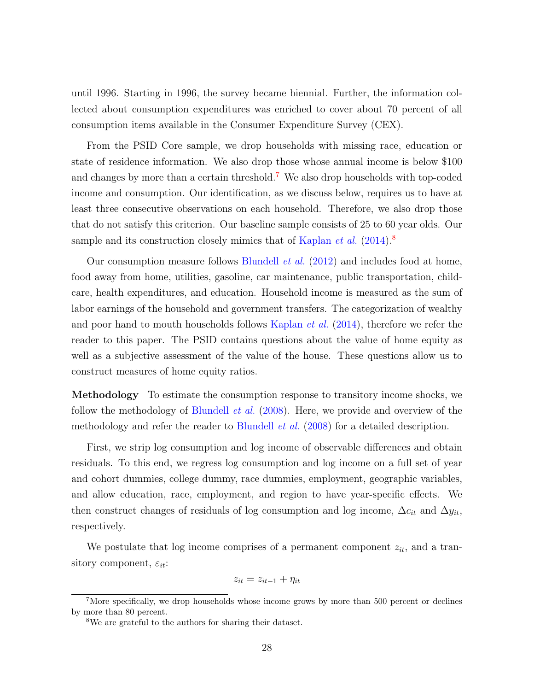until 1996. Starting in 1996, the survey became biennial. Further, the information collected about consumption expenditures was enriched to cover about 70 percent of all consumption items available in the Consumer Expenditure Survey (CEX).

From the PSID Core sample, we drop households with missing race, education or state of residence information. We also drop those whose annual income is below \$100 and changes by more than a certain threshold.7 We also drop households with top-coded income and consumption. Our identification, as we discuss below, requires us to have at least three consecutive observations on each household. Therefore, we also drop those that do not satisfy this criterion. Our baseline sample consists of 25 to 60 year olds. Our sample and its construction closely mimics that of [Kaplan](#page-43-11) *et al.* [\(2014\)](#page-43-11).<sup>8</sup>

Our consumption measure follows [Blundell](#page-41-10) *et al.* ([2012](#page-41-10)) and includes food at home, food away from home, utilities, gasoline, car maintenance, public transportation, childcare, health expenditures, and education. Household income is measured as the sum of labor earnings of the household and government transfers. The categorization of wealthy and poor hand to mouth households follows [Kaplan](#page-43-11) *et al.* ([2014](#page-43-11)), therefore we refer the reader to this paper. The PSID contains questions about the value of home equity as well as a subjective assessment of the value of the house. These questions allow us to construct measures of home equity ratios.

Methodology To estimate the consumption response to transitory income shocks, we follow the methodology of [Blundell](#page-41-11) *et al.* ([2008\)](#page-41-11). Here, we provide and overview of the methodology and refer the reader to [Blundell](#page-41-11) *et al.* ([2008\)](#page-41-11) for a detailed description.

First, we strip log consumption and log income of observable differences and obtain residuals. To this end, we regress log consumption and log income on a full set of year and cohort dummies, college dummy, race dummies, employment, geographic variables, and allow education, race, employment, and region to have year-specific effects. We then construct changes of residuals of log consumption and log income,  $\Delta c_i$  and  $\Delta y_i$ , respectively.

We postulate that log income comprises of a permanent component  $z_{it}$ , and a transitory component, *εit*:

$$
z_{it} = z_{it-1} + \eta_{it}
$$

<sup>&</sup>lt;sup>7</sup>More specifically, we drop households whose income grows by more than 500 percent or declines by more than 80 percent.

<sup>8</sup>We are grateful to the authors for sharing their dataset.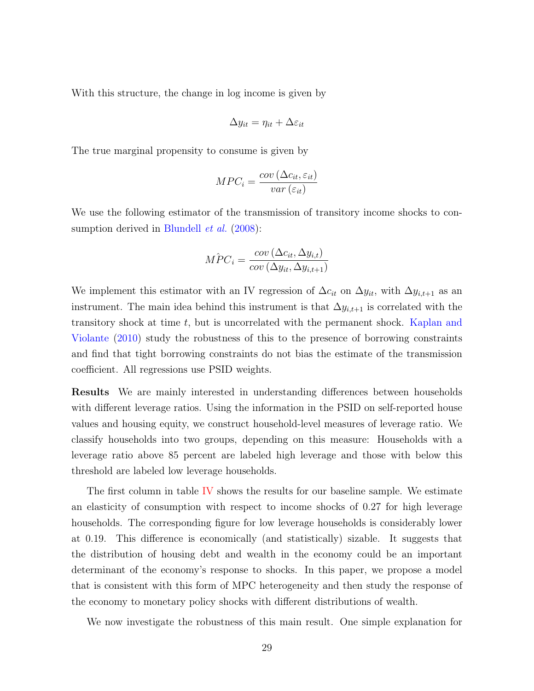With this structure, the change in log income is given by

$$
\Delta y_{it} = \eta_{it} + \Delta\varepsilon_{it}
$$

The true marginal propensity to consume is given by

$$
MPC_i = \frac{cov\left(\Delta c_{it}, \varepsilon_{it}\right)}{var\left(\varepsilon_{it}\right)}
$$

We use the following estimator of the transmission of transitory income shocks to consumption derived in [Blundell](#page-41-11) *et al.* [\(2008\)](#page-41-11):

$$
\hat{MPC}_i = \frac{cov\left(\Delta c_{it}, \Delta y_{i,t}\right)}{cov\left(\Delta y_{it}, \Delta y_{i,t+1}\right)}
$$

We implement this estimator with an IV regression of  $\Delta c_i$  on  $\Delta y_i$ , with  $\Delta y_{i,t+1}$  as an instrument. The main idea behind this instrument is that  $\Delta y_{i,t+1}$  is correlated with the transitory shock at time *t*, but is uncorrelated with the permanent shock. [Kaplan and](#page-43-12) [Violante](#page-43-12) [\(2010\)](#page-43-12) study the robustness of this to the presence of borrowing constraints and find that tight borrowing constraints do not bias the estimate of the transmission coefficient. All regressions use PSID weights.

Results We are mainly interested in understanding differences between households with different leverage ratios. Using the information in the PSID on self-reported house values and housing equity, we construct household-level measures of leverage ratio. We classify households into two groups, depending on this measure: Households with a leverage ratio above 85 percent are labeled high leverage and those with below this threshold are labeled low leverage households.

The first column in table [IV](#page-30-0) shows the results for our baseline sample. We estimate an elasticity of consumption with respect to income shocks of 0*.*27 for high leverage households. The corresponding figure for low leverage households is considerably lower at 0*.*19. This difference is economically (and statistically) sizable. It suggests that the distribution of housing debt and wealth in the economy could be an important determinant of the economy's response to shocks. In this paper, we propose a model that is consistent with this form of MPC heterogeneity and then study the response of the economy to monetary policy shocks with different distributions of wealth.

We now investigate the robustness of this main result. One simple explanation for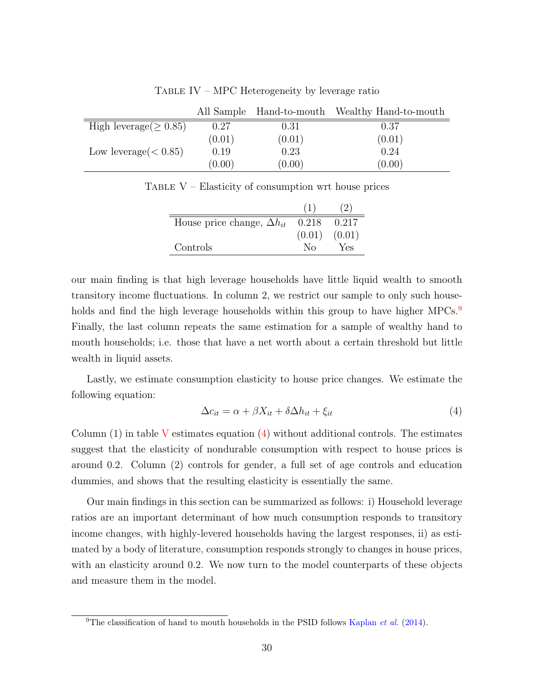<span id="page-30-1"></span><span id="page-30-0"></span>

|                              |        |        | All Sample Hand-to-mouth Wealthy Hand-to-mouth |
|------------------------------|--------|--------|------------------------------------------------|
| High leverage $( \geq 0.85)$ | 0.27   | 0.31   | 0.37                                           |
|                              | (0.01) | (0.01) | (0.01)                                         |
| Low leverage $(< 0.85)$      | 0.19   | 0.23   | 0.24                                           |
|                              | (0.00) | (0.00) | (0.00)                                         |

TABLE IV – MPC Heterogeneity by leverage ratio

TABLE  $V$  – Elasticity of consumption wrt house prices

| House price change, $\Delta h_{it}$ | 0.218        | 0.217  |
|-------------------------------------|--------------|--------|
|                                     | (0.01)       | (0.01) |
| Controls                            | $N_{\Omega}$ | Yes    |
|                                     |              |        |

our main finding is that high leverage households have little liquid wealth to smooth transitory income fluctuations. In column 2, we restrict our sample to only such households and find the high leverage households within this group to have higher  $MPCs$ . Finally, the last column repeats the same estimation for a sample of wealthy hand to mouth households; i.e. those that have a net worth about a certain threshold but little wealth in liquid assets.

Lastly, we estimate consumption elasticity to house price changes. We estimate the following equation:

<span id="page-30-2"></span>
$$
\Delta c_{it} = \alpha + \beta X_{it} + \delta \Delta h_{it} + \xi_{it} \tag{4}
$$

Column  $(1)$  in table [V](#page-30-1) estimates equation  $(4)$  $(4)$  without additional controls. The estimates suggest that the elasticity of nondurable consumption with respect to house prices is around 0.2. Column (2) controls for gender, a full set of age controls and education dummies, and shows that the resulting elasticity is essentially the same.

Our main findings in this section can be summarized as follows: i) Household leverage ratios are an important determinant of how much consumption responds to transitory income changes, with highly-levered households having the largest responses, ii) as estimated by a body of literature, consumption responds strongly to changes in house prices, with an elasticity around 0.2. We now turn to the model counterparts of these objects and measure them in the model.

<sup>9</sup>The classification of hand to mouth households in the PSID follows [Kaplan](#page-43-11) *et al.* ([2014\)](#page-43-11).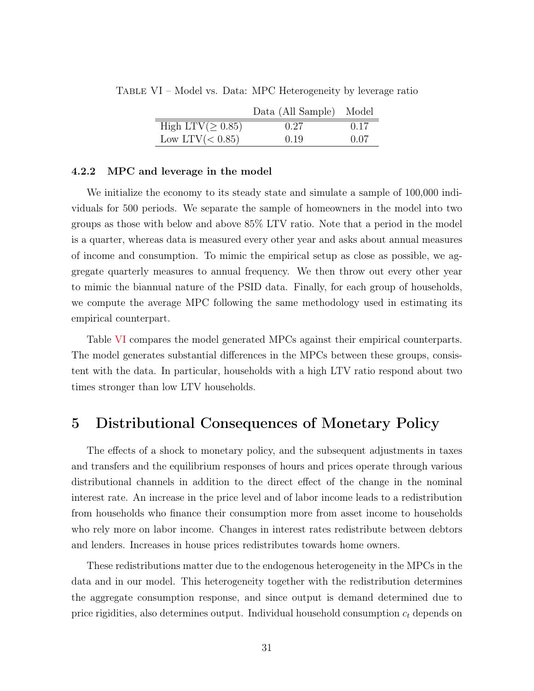|                         | Data (All Sample) Model |      |
|-------------------------|-------------------------|------|
| High LTV( $\geq 0.85$ ) | 0.27                    | 0.17 |
| Low LTV $(< 0.85)$      | 0.19                    | 0.07 |
|                         |                         |      |

<span id="page-31-0"></span>Table VI – Model vs. Data: MPC Heterogeneity by leverage ratio

#### 4.2.2 MPC and leverage in the model

We initialize the economy to its steady state and simulate a sample of  $100,000$  individuals for 500 periods. We separate the sample of homeowners in the model into two groups as those with below and above 85% LTV ratio. Note that a period in the model is a quarter, whereas data is measured every other year and asks about annual measures of income and consumption. To mimic the empirical setup as close as possible, we aggregate quarterly measures to annual frequency. We then throw out every other year to mimic the biannual nature of the PSID data. Finally, for each group of households, we compute the average MPC following the same methodology used in estimating its empirical counterpart.

Table [VI](#page-31-0) compares the model generated MPCs against their empirical counterparts. The model generates substantial differences in the MPCs between these groups, consistent with the data. In particular, households with a high LTV ratio respond about two times stronger than low LTV households.

## 5 Distributional Consequences of Monetary Policy

The effects of a shock to monetary policy, and the subsequent adjustments in taxes and transfers and the equilibrium responses of hours and prices operate through various distributional channels in addition to the direct effect of the change in the nominal interest rate. An increase in the price level and of labor income leads to a redistribution from households who finance their consumption more from asset income to households who rely more on labor income. Changes in interest rates redistribute between debtors and lenders. Increases in house prices redistributes towards home owners.

These redistributions matter due to the endogenous heterogeneity in the MPCs in the data and in our model. This heterogeneity together with the redistribution determines the aggregate consumption response, and since output is demand determined due to price rigidities, also determines output. Individual household consumption *c<sup>t</sup>* depends on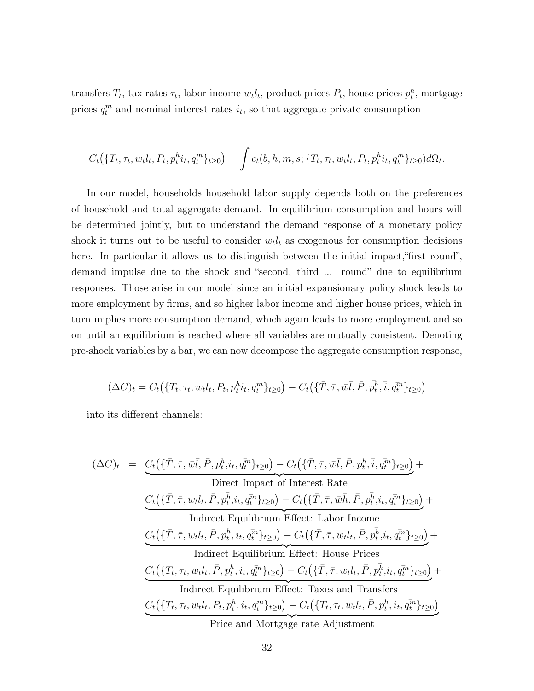transfers  $T_t$ , tax rates  $\tau_t$ , labor income  $w_t l_t$ , product prices  $P_t$ , house prices  $p_t^h$ , mortgage prices  $q_t^m$  and nominal interest rates  $i_t$ , so that aggregate private consumption

$$
C_t(\{T_t, \tau_t, w_t l_t, P_t, p_t^h i_t, q_t^m\}_{t\geq 0}) = \int c_t(b, h, m, s; \{T_t, \tau_t, w_t l_t, P_t, p_t^h i_t, q_t^m\}_{t\geq 0}) d\Omega_t.
$$

In our model, households household labor supply depends both on the preferences of household and total aggregate demand. In equilibrium consumption and hours will be determined jointly, but to understand the demand response of a monetary policy shock it turns out to be useful to consider  $w_t l_t$  as exogenous for consumption decisions here. In particular it allows us to distinguish between the initial impact, first round", demand impulse due to the shock and "second, third ... round" due to equilibrium responses. Those arise in our model since an initial expansionary policy shock leads to more employment by firms, and so higher labor income and higher house prices, which in turn implies more consumption demand, which again leads to more employment and so on until an equilibrium is reached where all variables are mutually consistent. Denoting pre-shock variables by a bar, we can now decompose the aggregate consumption response,

$$
(\Delta C)_t = C_t(\{T_t, \tau_t, w_t l_t, P_t, p_t^h i_t, q_t^m\}_{t \ge 0}) - C_t(\{\bar{T}, \bar{\tau}, \bar{w}\bar{l}, \bar{P}, p_t^{\bar{h}}, \bar{i}, q_t^{\bar{m}}\}_{t \ge 0})
$$

into its different channels:

$$
(\Delta C)_t = \underbrace{C_t(\{\bar{T}, \bar{\tau}, \bar{w}\bar{l}, \bar{P}, p_t^{\bar{h}}, i_t, q_t^{\bar{m}}\}_{t\geq 0}) - C_t(\{\bar{T}, \bar{\tau}, \bar{w}\bar{l}, \bar{P}, p_t^{\bar{h}}, \bar{i}, q_t^{\bar{m}}\}_{t\geq 0})}_{\text{Direct Impact of Interest Rate}}
$$
\n
$$
\underbrace{C_t(\{\bar{T}, \bar{\tau}, w_t l_t, \bar{P}, p_t^{\bar{h}}, i_t, q_t^{\bar{m}}\}_{t\geq 0}) - C_t(\{\bar{T}, \bar{\tau}, \bar{w}\bar{h}, \bar{P}, p_t^{\bar{h}}, i_t, q_t^{\bar{m}}\}_{t\geq 0})}_{\text{Indirect Equilibrium Effect: Labor Income}}
$$
\n
$$
\underbrace{C_t(\{\bar{T}, \bar{\tau}, w_t l_t, \bar{P}, p_t^h, i_t, q_t^{\bar{m}}\}_{t\geq 0}) - C_t(\{\bar{T}, \bar{\tau}, w_t l_t, \bar{P}, p_t^{\bar{h}}, i_t, q_t^{\bar{m}}\}_{t\geq 0})}_{\text{Indirect Equilibrium Effect: House Prices}}
$$
\n
$$
\underbrace{C_t(\{\bar{T}_t, \tau_t, w_t l_t, \bar{P}, p_t^h, i_t, q_t^{\bar{m}}\}_{t\geq 0}) - C_t(\{\bar{T}, \bar{\tau}, w_t l_t, \bar{P}, p_t^{\bar{h}}, i_t, q_t^{\bar{m}}\}_{t\geq 0})}_{\text{Indirect Equilibrium Effect: Taxes and Transfers}}
$$
\n
$$
\underbrace{C_t(\{\bar{T}_t, \tau_t, w_t l_t, P_t, p_t^h, i_t, q_t^m\}_{t\geq 0}) - C_t(\{\bar{T}_t, \tau_t, w_t l_t, \bar{P}, p_t^h, i_t, q_t^m\}_{t\geq 0})}_{\text{Price and Mortgage rate Adjustum}
$$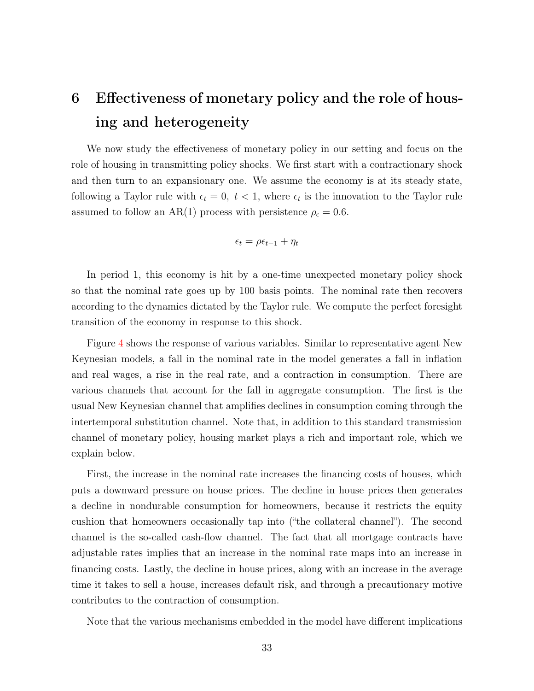# 6 Effectiveness of monetary policy and the role of housing and heterogeneity

We now study the effectiveness of monetary policy in our setting and focus on the role of housing in transmitting policy shocks. We first start with a contractionary shock and then turn to an expansionary one. We assume the economy is at its steady state, following a Taylor rule with  $\epsilon_t = 0, t < 1$ , where  $\epsilon_t$  is the innovation to the Taylor rule assumed to follow an AR(1) process with persistence  $\rho_{\epsilon} = 0.6$ .

$$
\epsilon_t = \rho \epsilon_{t-1} + \eta_t
$$

In period 1, this economy is hit by a one-time unexpected monetary policy shock so that the nominal rate goes up by 100 basis points. The nominal rate then recovers according to the dynamics dictated by the Taylor rule. We compute the perfect foresight transition of the economy in response to this shock.

Figure [4](#page-34-0) shows the response of various variables. Similar to representative agent New Keynesian models, a fall in the nominal rate in the model generates a fall in inflation and real wages, a rise in the real rate, and a contraction in consumption. There are various channels that account for the fall in aggregate consumption. The first is the usual New Keynesian channel that amplifies declines in consumption coming through the intertemporal substitution channel. Note that, in addition to this standard transmission channel of monetary policy, housing market plays a rich and important role, which we explain below.

First, the increase in the nominal rate increases the financing costs of houses, which puts a downward pressure on house prices. The decline in house prices then generates a decline in nondurable consumption for homeowners, because it restricts the equity cushion that homeowners occasionally tap into ("the collateral channel"). The second channel is the so-called cash-flow channel. The fact that all mortgage contracts have adjustable rates implies that an increase in the nominal rate maps into an increase in financing costs. Lastly, the decline in house prices, along with an increase in the average time it takes to sell a house, increases default risk, and through a precautionary motive contributes to the contraction of consumption.

Note that the various mechanisms embedded in the model have different implications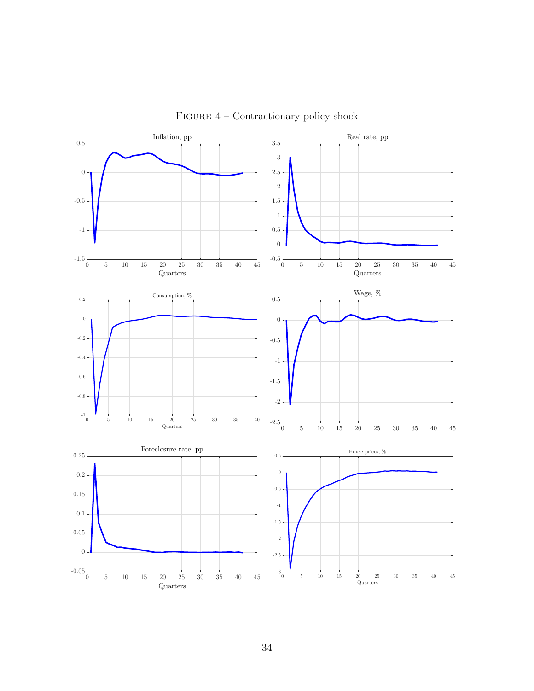<span id="page-34-0"></span>

FIGURE  $4$  – Contractionary policy shock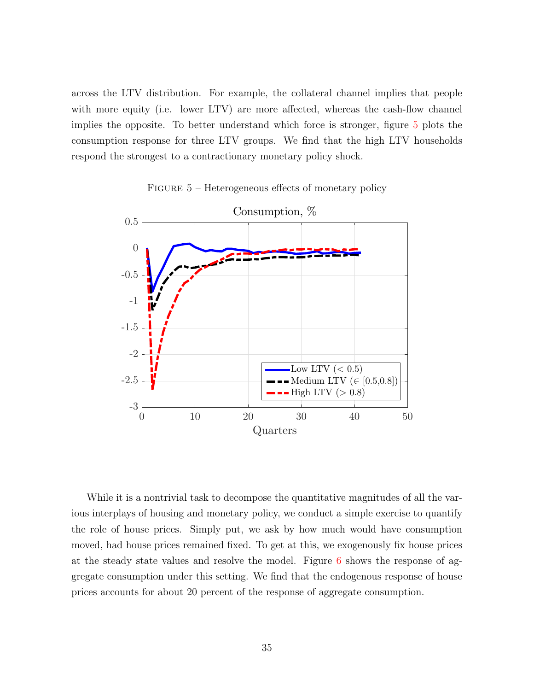across the LTV distribution. For example, the collateral channel implies that people with more equity (i.e. lower LTV) are more affected, whereas the cash-flow channel implies the opposite. To better understand which force is stronger, figure [5](#page-35-0) plots the consumption response for three LTV groups. We find that the high LTV households respond the strongest to a contractionary monetary policy shock.

<span id="page-35-0"></span>

FIGURE 5 - Heterogeneous effects of monetary policy

While it is a nontrivial task to decompose the quantitative magnitudes of all the various interplays of housing and monetary policy, we conduct a simple exercise to quantify the role of house prices. Simply put, we ask by how much would have consumption moved, had house prices remained fixed. To get at this, we exogenously fix house prices at the steady state values and resolve the model. Figure [6](#page-36-0) shows the response of aggregate consumption under this setting. We find that the endogenous response of house prices accounts for about 20 percent of the response of aggregate consumption.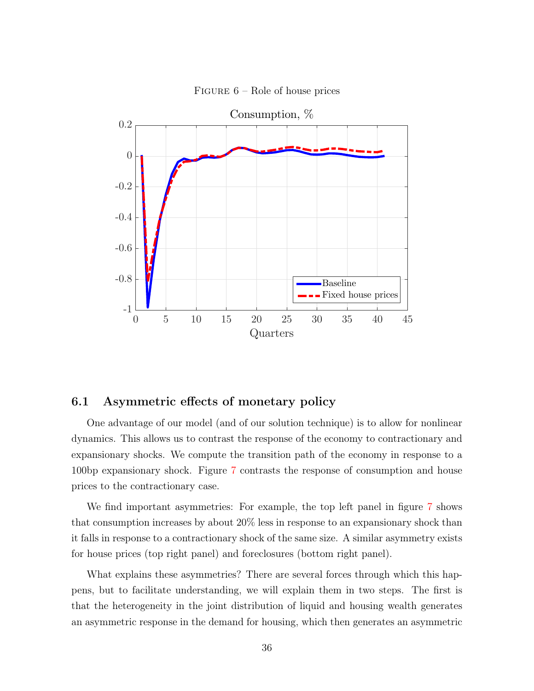<span id="page-36-0"></span>

FIGURE  $6$  – Role of house prices

## 6.1 Asymmetric effects of monetary policy

One advantage of our model (and of our solution technique) is to allow for nonlinear dynamics. This allows us to contrast the response of the economy to contractionary and expansionary shocks. We compute the transition path of the economy in response to a 100bp expansionary shock. Figure [7](#page-37-0) contrasts the response of consumption and house prices to the contractionary case.

We find important asymmetries: For example, the top left panel in figure [7](#page-37-0) shows that consumption increases by about 20% less in response to an expansionary shock than it falls in response to a contractionary shock of the same size. A similar asymmetry exists for house prices (top right panel) and foreclosures (bottom right panel).

What explains these asymmetries? There are several forces through which this happens, but to facilitate understanding, we will explain them in two steps. The first is that the heterogeneity in the joint distribution of liquid and housing wealth generates an asymmetric response in the demand for housing, which then generates an asymmetric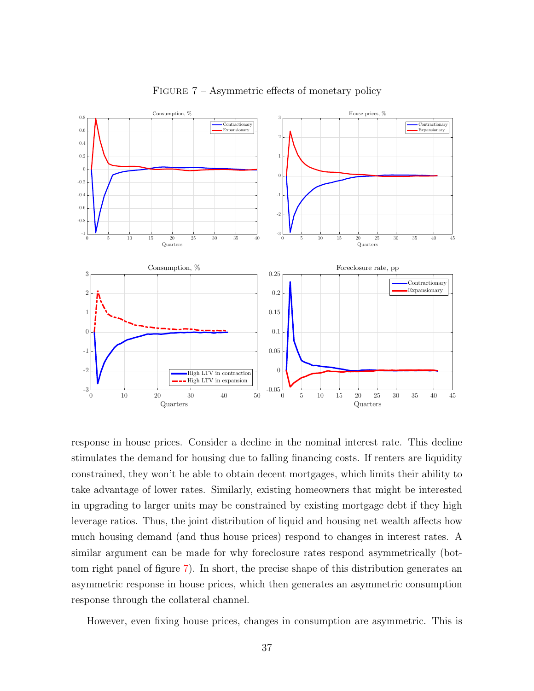<span id="page-37-0"></span>

FIGURE 7 – Asymmetric effects of monetary policy

response in house prices. Consider a decline in the nominal interest rate. This decline stimulates the demand for housing due to falling financing costs. If renters are liquidity constrained, they won't be able to obtain decent mortgages, which limits their ability to take advantage of lower rates. Similarly, existing homeowners that might be interested in upgrading to larger units may be constrained by existing mortgage debt if they high leverage ratios. Thus, the joint distribution of liquid and housing net wealth affects how much housing demand (and thus house prices) respond to changes in interest rates. A similar argument can be made for why foreclosure rates respond asymmetrically (bottom right panel of figure [7](#page-37-0)). In short, the precise shape of this distribution generates an asymmetric response in house prices, which then generates an asymmetric consumption response through the collateral channel.

However, even fixing house prices, changes in consumption are asymmetric. This is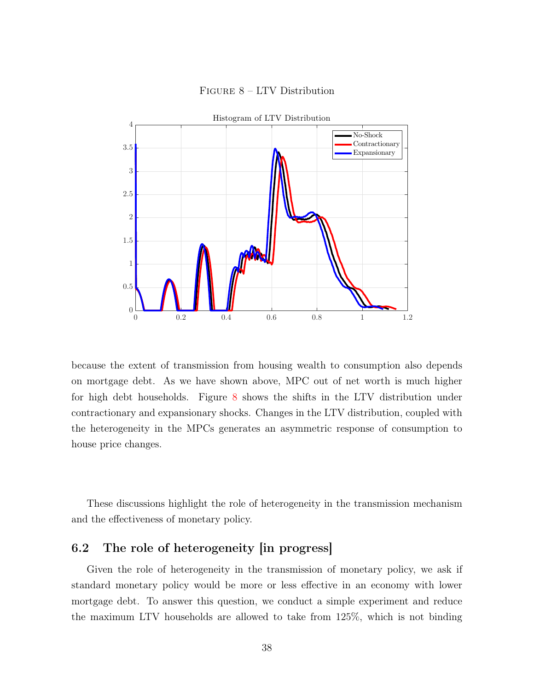<span id="page-38-0"></span>

## Figure 8 – LTV Distribution

because the extent of transmission from housing wealth to consumption also depends on mortgage debt. As we have shown above, MPC out of net worth is much higher for high debt households. Figure [8](#page-38-0) shows the shifts in the LTV distribution under contractionary and expansionary shocks. Changes in the LTV distribution, coupled with the heterogeneity in the MPCs generates an asymmetric response of consumption to house price changes.

These discussions highlight the role of heterogeneity in the transmission mechanism and the effectiveness of monetary policy.

## 6.2 The role of heterogeneity [in progress]

Given the role of heterogeneity in the transmission of monetary policy, we ask if standard monetary policy would be more or less effective in an economy with lower mortgage debt. To answer this question, we conduct a simple experiment and reduce the maximum LTV households are allowed to take from 125%, which is not binding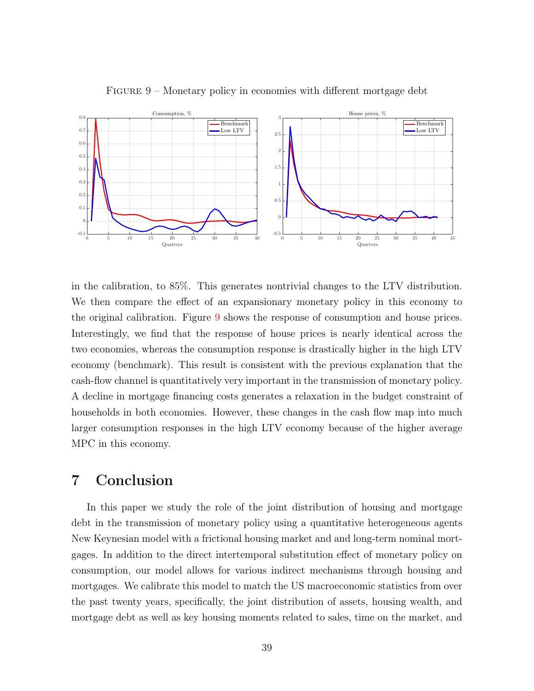<span id="page-39-0"></span>

FIGURE 9 – Monetary policy in economies with different mortgage debt

in the calibration, to 85%. This generates nontrivial changes to the LTV distribution. We then compare the effect of an expansionary monetary policy in this economy to the original calibration. Figure [9](#page-39-0) shows the response of consumption and house prices. Interestingly, we find that the response of house prices is nearly identical across the two economies, whereas the consumption response is drastically higher in the high LTV economy (benchmark). This result is consistent with the previous explanation that the cash-flow channel is quantitatively very important in the transmission of monetary policy. A decline in mortgage financing costs generates a relaxation in the budget constraint of households in both economies. However, these changes in the cash flow map into much larger consumption responses in the high LTV economy because of the higher average MPC in this economy.

# 7 Conclusion

In this paper we study the role of the joint distribution of housing and mortgage debt in the transmission of monetary policy using a quantitative heterogeneous agents New Keynesian model with a frictional housing market and and long-term nominal mortgages. In addition to the direct intertemporal substitution effect of monetary policy on consumption, our model allows for various indirect mechanisms through housing and mortgages. We calibrate this model to match the US macroeconomic statistics from over the past twenty years, specifically, the joint distribution of assets, housing wealth, and mortgage debt as well as key housing moments related to sales, time on the market, and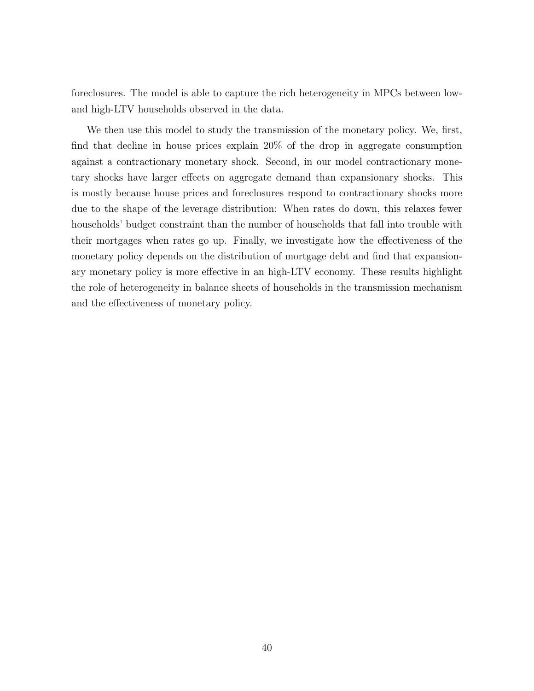foreclosures. The model is able to capture the rich heterogeneity in MPCs between lowand high-LTV households observed in the data.

We then use this model to study the transmission of the monetary policy. We, first, find that decline in house prices explain 20% of the drop in aggregate consumption against a contractionary monetary shock. Second, in our model contractionary monetary shocks have larger effects on aggregate demand than expansionary shocks. This is mostly because house prices and foreclosures respond to contractionary shocks more due to the shape of the leverage distribution: When rates do down, this relaxes fewer households' budget constraint than the number of households that fall into trouble with their mortgages when rates go up. Finally, we investigate how the effectiveness of the monetary policy depends on the distribution of mortgage debt and find that expansionary monetary policy is more effective in an high-LTV economy. These results highlight the role of heterogeneity in balance sheets of households in the transmission mechanism and the effectiveness of monetary policy.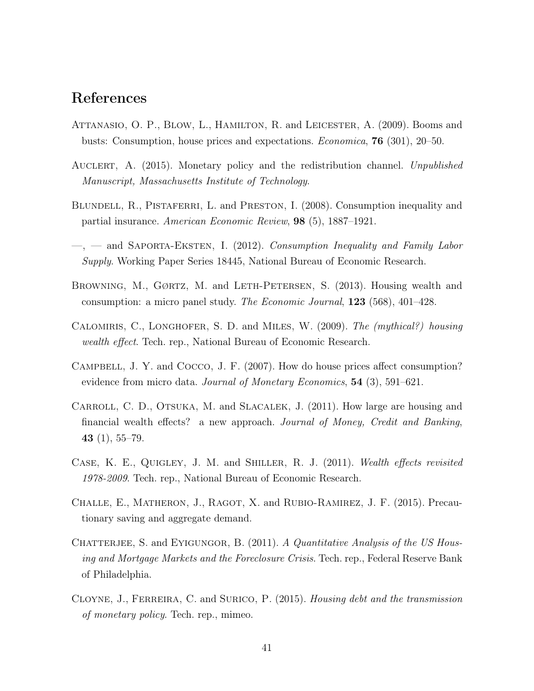# References

- <span id="page-41-2"></span>ATTANASIO, O. P., BLOW, L., HAMILTON, R. and LEICESTER, A. (2009). Booms and busts: Consumption, house prices and expectations. *Economica*, 76 (301), 20–50.
- <span id="page-41-0"></span>Auclert, A. (2015). Monetary policy and the redistribution channel. *Unpublished Manuscript, Massachusetts Institute of Technology*.
- <span id="page-41-11"></span>BLUNDELL, R., PISTAFERRI, L. and PRESTON, I. (2008). Consumption inequality and partial insurance. *American Economic Review*, 98 (5), 1887–1921.
- <span id="page-41-10"></span>—, — and Saporta-Eksten, I. (2012). *Consumption Inequality and Family Labor Supply*. Working Paper Series 18445, National Bureau of Economic Research.
- <span id="page-41-4"></span>BROWNING, M., GØRTZ, M. and LETH-PETERSEN, S. (2013). Housing wealth and consumption: a micro panel study. *The Economic Journal*, 123 (568), 401–428.
- <span id="page-41-3"></span>Calomiris, C., Longhofer, S. D. and Miles, W. (2009). *The (mythical?) housing wealth effect*. Tech. rep., National Bureau of Economic Research.
- <span id="page-41-6"></span>Campbell, J. Y. and Cocco, J. F. (2007). How do house prices affect consumption? evidence from micro data. *Journal of Monetary Economics*, 54 (3), 591–621.
- <span id="page-41-1"></span>CARROLL, C. D., OTSUKA, M. and SLACALEK, J. (2011). How large are housing and financial wealth effects? a new approach. *Journal of Money, Credit and Banking*, 43 $(1), 55-79.$
- <span id="page-41-5"></span>Case, K. E., Quigley, J. M. and Shiller, R. J. (2011). *Wealth effects revisited 1978-2009*. Tech. rep., National Bureau of Economic Research.
- <span id="page-41-8"></span>Challe, E., Matheron, J., Ragot, X. and Rubio-Ramirez, J. F. (2015). Precautionary saving and aggregate demand.
- <span id="page-41-9"></span>CHATTERJEE, S. and EYIGUNGOR, B. (2011). *A Quantitative Analysis of the US Housing and Mortgage Markets and the Foreclosure Crisis*. Tech. rep., Federal Reserve Bank of Philadelphia.
- <span id="page-41-7"></span>Cloyne, J., Ferreira, C. and Surico, P. (2015). *Housing debt and the transmission of monetary policy*. Tech. rep., mimeo.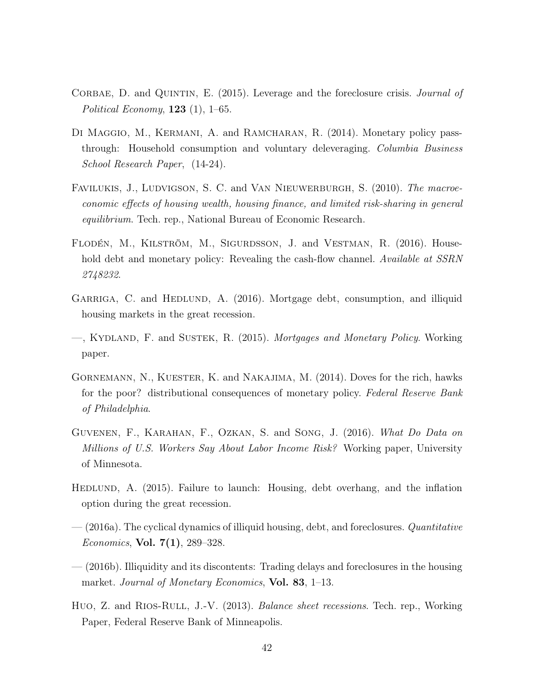- <span id="page-42-7"></span>CORBAE, D. and QUINTIN, E. (2015). Leverage and the foreclosure crisis. *Journal of Political Economy*, 123 (1), 1–65.
- <span id="page-42-1"></span>DI MAGGIO, M., KERMANI, A. and RAMCHARAN, R. (2014). Monetary policy passthrough: Household consumption and voluntary deleveraging. *Columbia Business School Research Paper*, (14-24).
- <span id="page-42-6"></span>Favilukis, J., Ludvigson, S. C. and Van Nieuwerburgh, S. (2010). *The macroeconomic effects of housing wealth, housing finance, and limited risk-sharing in general equilibrium*. Tech. rep., National Bureau of Economic Research.
- <span id="page-42-0"></span>Flodén, M., Kilström, M., Sigurdsson, J. and Vestman, R. (2016). Household debt and monetary policy: Revealing the cash-flow channel. *Available at SSRN 2748232*.
- <span id="page-42-3"></span>GARRIGA, C. and HEDLUND, A. (2016). Mortgage debt, consumption, and illiquid housing markets in the great recession.
- <span id="page-42-4"></span>—, Kydland, F. and Sustek, R. (2015). *Mortgages and Monetary Policy*. Working paper.
- <span id="page-42-2"></span>Gornemann, N., Kuester, K. and Nakajima, M. (2014). Doves for the rich, hawks for the poor? distributional consequences of monetary policy. *Federal Reserve Bank of Philadelphia*.
- <span id="page-42-11"></span>Guvenen, F., Karahan, F., Ozkan, S. and Song, J. (2016). *What Do Data on Millions of U.S. Workers Say About Labor Income Risk?* Working paper, University of Minnesota.
- <span id="page-42-8"></span>HEDLUND, A. (2015). Failure to launch: Housing, debt overhang, and the inflation option during the great recession.
- <span id="page-42-10"></span>— (2016a). The cyclical dynamics of illiquid housing, debt, and foreclosures. *Quantitative Economics*, Vol. 7(1), 289–328.
- <span id="page-42-9"></span>— (2016b). Illiquidity and its discontents: Trading delays and foreclosures in the housing market. *Journal of Monetary Economics*, Vol. 83, 1–13.
- <span id="page-42-5"></span>Huo, Z. and Rıos-Rull, J.-V. (2013). *Balance sheet recessions*. Tech. rep., Working Paper, Federal Reserve Bank of Minneapolis.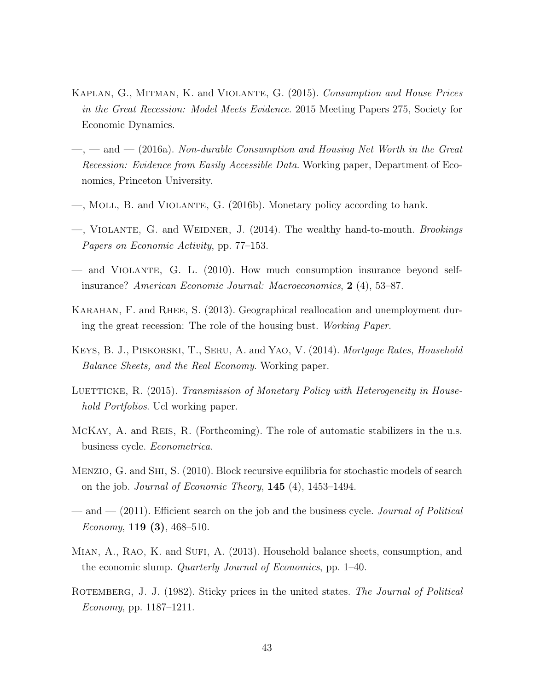- <span id="page-43-8"></span>Kaplan, G., Mitman, K. and Violante, G. (2015). *Consumption and House Prices in the Great Recession: Model Meets Evidence*. 2015 Meeting Papers 275, Society for Economic Dynamics.
- <span id="page-43-1"></span>—, — and — (2016a). *Non-durable Consumption and Housing Net Worth in the Great Recession: Evidence from Easily Accessible Data*. Working paper, Department of Economics, Princeton University.
- <span id="page-43-2"></span>—, Moll, B. and Violante, G. (2016b). Monetary policy according to hank.
- <span id="page-43-11"></span>—, Violante, G. and Weidner, J. (2014). The wealthy hand-to-mouth. *Brookings Papers on Economic Activity*, pp. 77–153.
- <span id="page-43-12"></span>— and Violante, G. L. (2010). How much consumption insurance beyond selfinsurance? *American Economic Journal: Macroeconomics*, 2 (4), 53–87.
- <span id="page-43-10"></span>KARAHAN, F. and RHEE, S. (2013). Geographical reallocation and unemployment during the great recession: The role of the housing bust. *Working Paper*.
- <span id="page-43-5"></span>Keys, B. J., Piskorski, T., Seru, A. and Yao, V. (2014). *Mortgage Rates, Household Balance Sheets, and the Real Economy*. Working paper.
- <span id="page-43-7"></span>LUETTICKE, R. (2015). *Transmission of Monetary Policy with Heterogeneity in Household Portfolios*. Ucl working paper.
- <span id="page-43-6"></span>McKay, A. and Reis, R. (Forthcoming). The role of automatic stabilizers in the u.s. business cycle. *Econometrica*.
- <span id="page-43-4"></span>Menzio, G. and Shi, S. (2010). Block recursive equilibria for stochastic models of search on the job. *Journal of Economic Theory*, 145 (4), 1453–1494.
- <span id="page-43-9"></span>— and — (2011). Efficient search on the job and the business cycle. *Journal of Political Economy*, 119 (3), 468–510.
- <span id="page-43-0"></span>MIAN, A., RAO, K. and SUFI, A. (2013). Household balance sheets, consumption, and the economic slump. *Quarterly Journal of Economics*, pp. 1–40.
- <span id="page-43-3"></span>ROTEMBERG, J. J. (1982). Sticky prices in the united states. *The Journal of Political Economy*, pp. 1187–1211.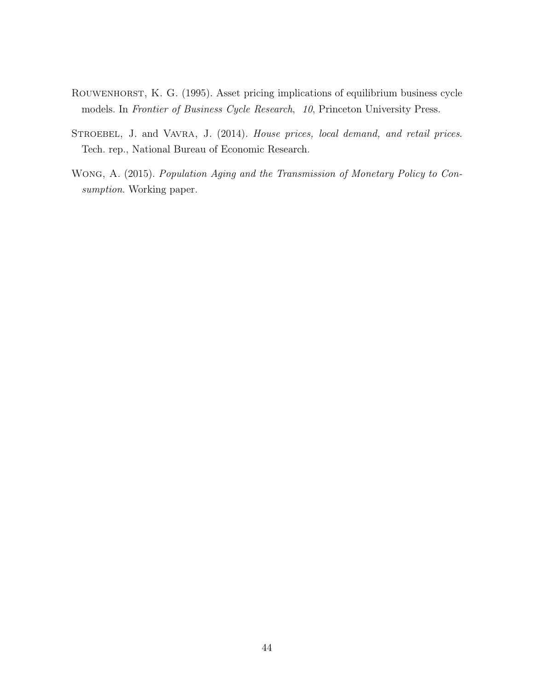- <span id="page-44-2"></span>ROUWENHORST, K. G. (1995). Asset pricing implications of equilibrium business cycle models. In *Frontier of Business Cycle Research*, *10*, Princeton University Press.
- <span id="page-44-1"></span>STROEBEL, J. and VAVRA, J. (2014). *House prices, local demand, and retail prices*. Tech. rep., National Bureau of Economic Research.
- <span id="page-44-0"></span>Wong, A. (2015). *Population Aging and the Transmission of Monetary Policy to Consumption*. Working paper.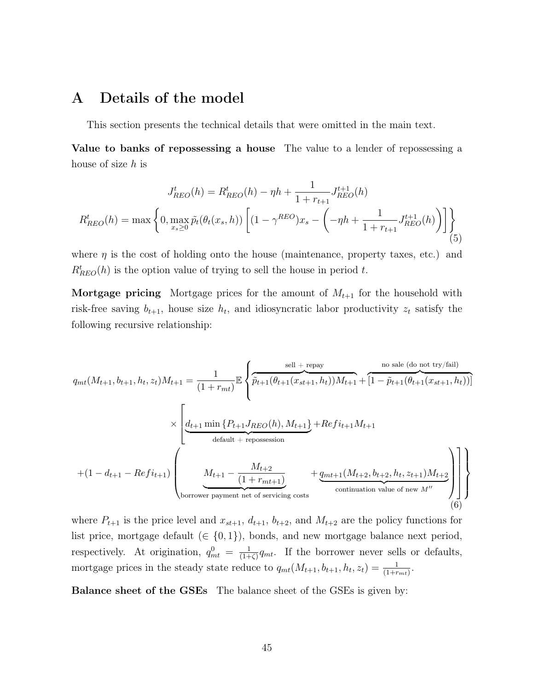# <span id="page-45-0"></span>A Details of the model

This section presents the technical details that were omitted in the main text.

Value to banks of repossessing a house The value to a lender of repossessing a house of size *h* is

<span id="page-45-1"></span>
$$
J_{REO}^{t}(h) = R_{REO}^{t}(h) - \eta h + \frac{1}{1 + r_{t+1}} J_{REO}^{t+1}(h)
$$

$$
R_{REO}^{t}(h) = \max \left\{ 0, \max_{x_s \ge 0} \tilde{p}_t(\theta_t(x_s, h)) \left[ (1 - \gamma^{REO})x_s - \left( -\eta h + \frac{1}{1 + r_{t+1}} J_{REO}^{t+1}(h) \right) \right] \right\}
$$
(5)

where  $\eta$  is the cost of holding onto the house (maintenance, property taxes, etc.) and  $R_{REO}^{t}(h)$  is the option value of trying to sell the house in period *t*.

**Mortgage pricing** Mortgage prices for the amount of  $M_{t+1}$  for the household with risk-free saving  $b_{t+1}$ , house size  $h_t$ , and idiosyncratic labor productivity  $z_t$  satisfy the following recursive relationship:

<span id="page-45-2"></span>
$$
q_{mt}(M_{t+1}, b_{t+1}, h_t, z_t)M_{t+1} = \frac{1}{(1 + r_{mt})} \mathbb{E} \left\{ \widetilde{p}_{t+1}(\theta_{t+1}(x_{st+1}, h_t))M_{t+1} + [1 - \widetilde{p}_{t+1}(\theta_{t+1}(x_{st+1}, h_t))]
$$
  
\n
$$
\times \left[ \underbrace{d_{t+1} \min \{P_{t+1} J_{REO}(h), M_{t+1}\}}_{\text{default + repossession}} + \underbrace{Re f i_{t+1} M_{t+1}}_{\text{continuation value of new } M''} \right] \right\}
$$

where  $P_{t+1}$  is the price level and  $x_{st+1}$ ,  $d_{t+1}$ ,  $b_{t+2}$ , and  $M_{t+2}$  are the policy functions for list price, mortgage default ( $\in \{0, 1\}$ ), bonds, and new mortgage balance next period, respectively. At origination,  $q_{mt}^0 = \frac{1}{(1 + \dots})$  $\frac{1}{(1+\zeta)}q_{mt}$ . If the borrower never sells or defaults, mortgage prices in the steady state reduce to  $q_{mt}(M_{t+1}, b_{t+1}, h_t, z_t) = \frac{1}{(1+r_{mt})}$ .

Balance sheet of the GSEs The balance sheet of the GSEs is given by: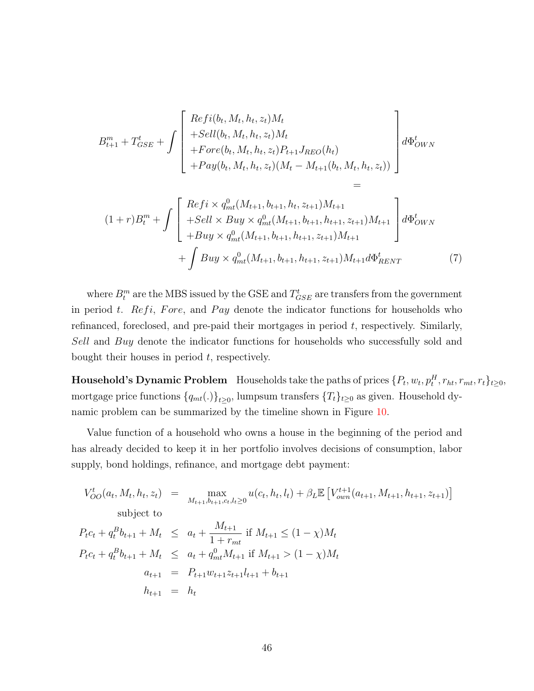$$
B_{t+1}^{m} + T_{GSE}^{t} + \int \left[ \begin{array}{c} Refi(b_t, M_t, h_t, z_t)M_t \\ + Sell(b_t, M_t, h_t, z_t)M_t \\ + Fore(b_t, M_t, h_t, z_t)P_{t+1}J_{REO}(h_t) \\ + Pay(b_t, M_t, h_t, z_t)(M_t - M_{t+1}(b_t, M_t, h_t, z_t)) \end{array} \right] d\Phi_{OWN}^{t}
$$

$$
(1+r)B_t^m + \int \left[ \begin{array}{l} Refi \times q_{mt}^0(M_{t+1}, b_{t+1}, h_t, z_{t+1})M_{t+1} \\ + Sell \times Buy \times q_{mt}^0(M_{t+1}, b_{t+1}, h_{t+1}, z_{t+1})M_{t+1} \\ + Buy \times q_{mt}^0(M_{t+1}, b_{t+1}, h_{t+1}, z_{t+1})M_{t+1} \\ + \int Buy \times q_{mt}^0(M_{t+1}, b_{t+1}, h_{t+1}, z_{t+1})M_{t+1}d\Phi_{RENT}^t \end{array} \right] d\Phi_{OWN}^t
$$
\n
$$
(7)
$$

=

where  $B_t^m$  are the MBS issued by the GSE and  $T^t_{GSE}$  are transfers from the government in period *t.* Refi, Fore, and Pay denote the indicator functions for households who refinanced, foreclosed, and pre-paid their mortgages in period *t*, respectively. Similarly, *Sell* and *Buy* denote the indicator functions for households who successfully sold and bought their houses in period *t*, respectively.

Household's Dynamic Problem Households take the paths of prices  $\{P_t, w_t, p_t^H, r_{ht}, r_{mt}, r_t\}_{t\geq0}$ mortgage price functions  $\{q_{mt}(.)\}_{t\geq 0}$ , lumpsum transfers  $\{T_t\}_{t\geq 0}$  as given. Household dynamic problem can be summarized by the timeline shown in Figure [10](#page-47-0).

Value function of a household who owns a house in the beginning of the period and has already decided to keep it in her portfolio involves decisions of consumption, labor supply, bond holdings, refinance, and mortgage debt payment:

$$
V_{OO}^{t}(a_{t}, M_{t}, h_{t}, z_{t}) = \max_{M_{t+1}, b_{t+1}, c_{t}, l_{t} \geq 0} u(c_{t}, h_{t}, l_{t}) + \beta_{L} \mathbb{E} \left[ V_{own}^{t+1}(a_{t+1}, M_{t+1}, h_{t+1}, z_{t+1}) \right]
$$
  
subject to  

$$
P_{t}c_{t} + q_{t}^{B}b_{t+1} + M_{t} \leq a_{t} + \frac{M_{t+1}}{1 + r_{mt}} \text{ if } M_{t+1} \leq (1 - \chi)M_{t}
$$

$$
P_{t}c_{t} + q_{t}^{B}b_{t+1} + M_{t} \leq a_{t} + q_{mt}^{0}M_{t+1} \text{ if } M_{t+1} > (1 - \chi)M_{t}
$$

$$
a_{t+1} = P_{t+1}w_{t+1}z_{t+1}l_{t+1} + b_{t+1}
$$

$$
h_{t+1} = h_{t}
$$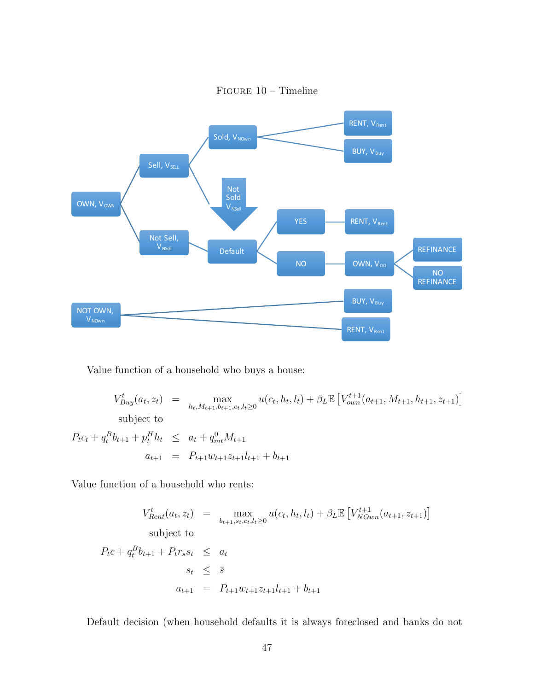<span id="page-47-0"></span>

Figure 10 – Timeline

Value function of a household who buys a house:

 $V_{Buy}^t(a_t, z_t) = \max_{h_t, M_{t+1}, b_{t+1}, c_t, l_t \ge 0} u(c_t, h_t, l_t) + \beta_L \mathbb{E}\left[V_{own}^{t+1}(a_{t+1}, M_{t+1}, h_{t+1}, z_{t+1})\right]$ subject to  $P_t c_t + q_t^B b_{t+1} + p_t^H h_t \leq a_t + q_{mt}^0 M_{t+1}$  $a_{t+1} = P_{t+1}w_{t+1}z_{t+1}l_{t+1} + b_{t+1}$ 

Value function of a household who rents:

$$
V_{Rent}^{t}(a_{t}, z_{t}) = \max_{b_{t+1}, s_{t}, c_{t}, l_{t} \geq 0} u(c_{t}, h_{t}, l_{t}) + \beta_{L} \mathbb{E}\left[V_{NOwn}^{t+1}(a_{t+1}, z_{t+1})\right]
$$
  
subject to  

$$
P_{t}c + q_{t}^{B}b_{t+1} + P_{t}r_{s}s_{t} \leq a_{t}
$$

$$
s_{t} \leq \bar{s}
$$

$$
a_{t+1} = P_{t+1}w_{t+1}z_{t+1}l_{t+1} + b_{t+1}
$$

Default decision (when household defaults it is always foreclosed and banks do not